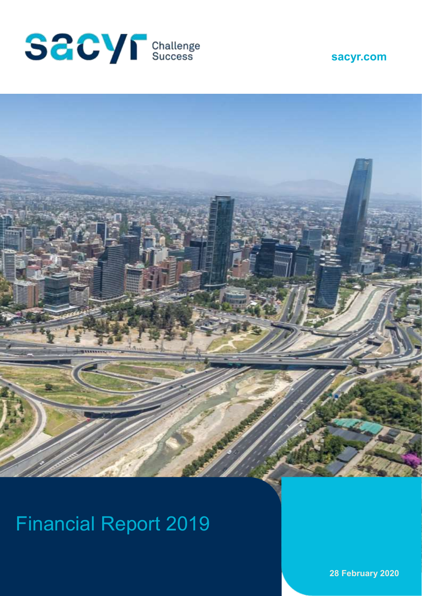





# Financial Report 2019

**28 February 2020**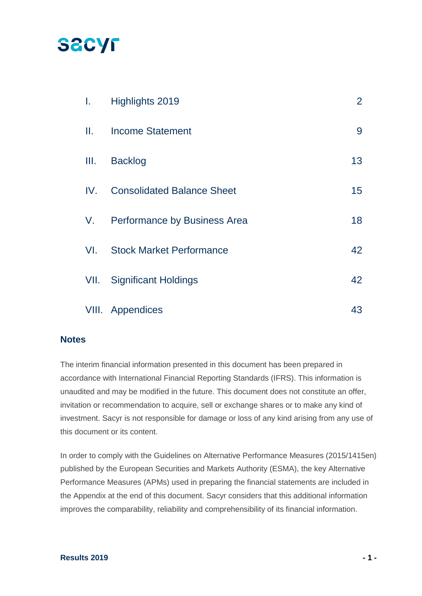## **SACYF**

| L.              | Highlights 2019                   | $\overline{2}$ |
|-----------------|-----------------------------------|----------------|
| $\mathbf{II}$ . | <b>Income Statement</b>           | 9              |
| Ш.              | <b>Backlog</b>                    | 13             |
| IV.             | <b>Consolidated Balance Sheet</b> | 15             |
| V.              | Performance by Business Area      | 18             |
| VI.             | <b>Stock Market Performance</b>   | 42             |
| VII.            | <b>Significant Holdings</b>       | 42             |
|                 | VIII. Appendices                  | 43             |

### **Notes**

The interim financial information presented in this document has been prepared in accordance with International Financial Reporting Standards (IFRS). This information is unaudited and may be modified in the future. This document does not constitute an offer, invitation or recommendation to acquire, sell or exchange shares or to make any kind of investment. Sacyr is not responsible for damage or loss of any kind arising from any use of this document or its content.

In order to comply with the Guidelines on Alternative Performance Measures (2015/1415en) published by the European Securities and Markets Authority (ESMA), the key Alternative Performance Measures (APMs) used in preparing the financial statements are included in the Appendix at the end of this document. Sacyr considers that this additional information improves the comparability, reliability and comprehensibility of its financial information.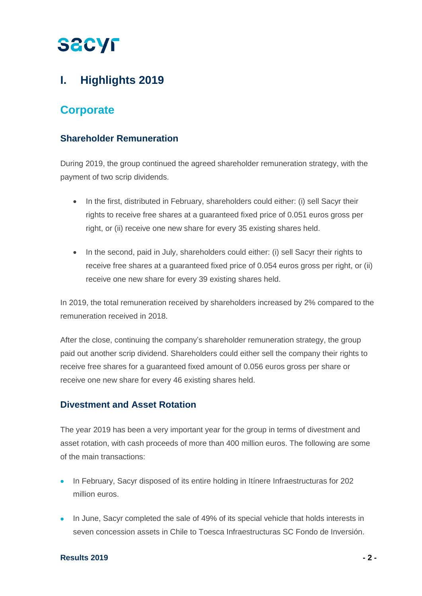## **I. Highlights 2019**

## **Corporate**

### **Shareholder Remuneration**

During 2019, the group continued the agreed shareholder remuneration strategy, with the payment of two scrip dividends.

- In the first, distributed in February, shareholders could either: (i) sell Sacyr their rights to receive free shares at a guaranteed fixed price of 0.051 euros gross per right, or (ii) receive one new share for every 35 existing shares held.
- In the second, paid in July, shareholders could either: (i) sell Sacyr their rights to receive free shares at a guaranteed fixed price of 0.054 euros gross per right, or (ii) receive one new share for every 39 existing shares held.

In 2019, the total remuneration received by shareholders increased by 2% compared to the remuneration received in 2018.

After the close, continuing the company's shareholder remuneration strategy, the group paid out another scrip dividend. Shareholders could either sell the company their rights to receive free shares for a guaranteed fixed amount of 0.056 euros gross per share or receive one new share for every 46 existing shares held.

### **Divestment and Asset Rotation**

The year 2019 has been a very important year for the group in terms of divestment and asset rotation, with cash proceeds of more than 400 million euros. The following are some of the main transactions:

- In February, Sacyr disposed of its entire holding in Itínere Infraestructuras for 202 million euros.
- In June, Sacyr completed the sale of 49% of its special vehicle that holds interests in seven concession assets in Chile to Toesca Infraestructuras SC Fondo de Inversión.

### **Results 2019 - 2 -**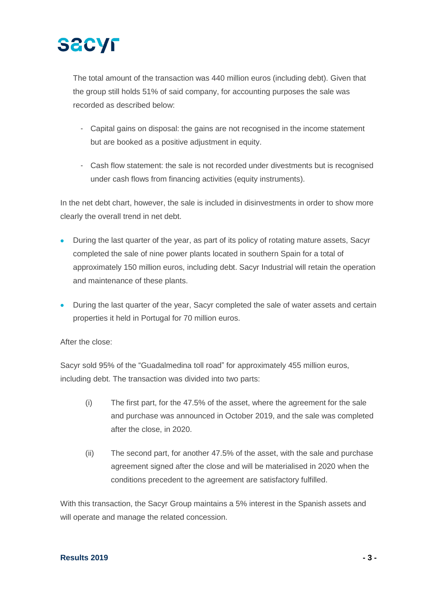

The total amount of the transaction was 440 million euros (including debt). Given that the group still holds 51% of said company, for accounting purposes the sale was recorded as described below:

- Capital gains on disposal: the gains are not recognised in the income statement but are booked as a positive adjustment in equity.
- Cash flow statement: the sale is not recorded under divestments but is recognised under cash flows from financing activities (equity instruments).

In the net debt chart, however, the sale is included in disinvestments in order to show more clearly the overall trend in net debt.

- During the last quarter of the year, as part of its policy of rotating mature assets, Sacyr completed the sale of nine power plants located in southern Spain for a total of approximately 150 million euros, including debt. Sacyr Industrial will retain the operation and maintenance of these plants.
- During the last quarter of the year, Sacyr completed the sale of water assets and certain properties it held in Portugal for 70 million euros.

After the close:

Sacyr sold 95% of the "Guadalmedina toll road" for approximately 455 million euros, including debt. The transaction was divided into two parts:

- (i) The first part, for the 47.5% of the asset, where the agreement for the sale and purchase was announced in October 2019, and the sale was completed after the close, in 2020.
- (ii) The second part, for another 47.5% of the asset, with the sale and purchase agreement signed after the close and will be materialised in 2020 when the conditions precedent to the agreement are satisfactory fulfilled.

With this transaction, the Sacyr Group maintains a 5% interest in the Spanish assets and will operate and manage the related concession.

#### **Results 2019 - 3 -**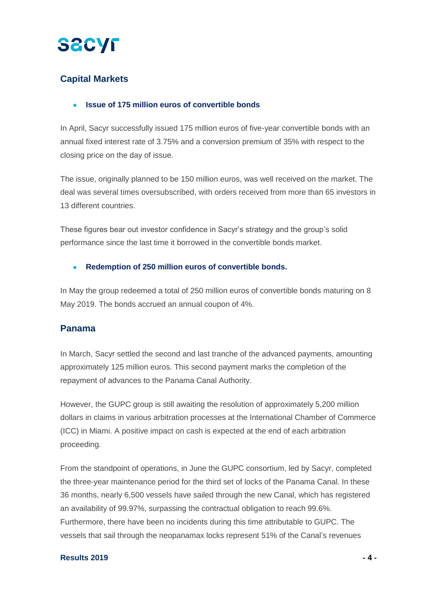

## **Capital Markets**

### • **Issue of 175 million euros of convertible bonds**

In April, Sacyr successfully issued 175 million euros of five-year convertible bonds with an annual fixed interest rate of 3.75% and a conversion premium of 35% with respect to the closing price on the day of issue.

The issue, originally planned to be 150 million euros, was well received on the market. The deal was several times oversubscribed, with orders received from more than 65 investors in 13 different countries.

These figures bear out investor confidence in Sacyr's strategy and the group's solid performance since the last time it borrowed in the convertible bonds market.

### • **Redemption of 250 million euros of convertible bonds.**

In May the group redeemed a total of 250 million euros of convertible bonds maturing on 8 May 2019. The bonds accrued an annual coupon of 4%.

### **Panama**

In March, Sacyr settled the second and last tranche of the advanced payments, amounting approximately 125 million euros. This second payment marks the completion of the repayment of advances to the Panama Canal Authority.

However, the GUPC group is still awaiting the resolution of approximately 5,200 million dollars in claims in various arbitration processes at the International Chamber of Commerce (ICC) in Miami. A positive impact on cash is expected at the end of each arbitration proceeding.

From the standpoint of operations, in June the GUPC consortium, led by Sacyr, completed the three-year maintenance period for the third set of locks of the Panama Canal. In these 36 months, nearly 6,500 vessels have sailed through the new Canal, which has registered an availability of 99.97%, surpassing the contractual obligation to reach 99.6%. Furthermore, there have been no incidents during this time attributable to GUPC. The vessels that sail through the neopanamax locks represent 51% of the Canal's revenues

### **Results 2019 - 4 -**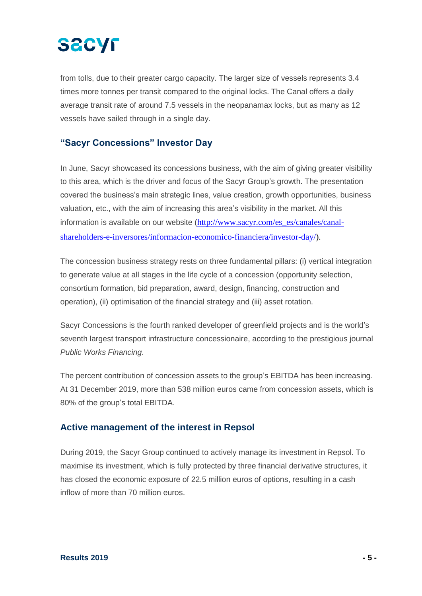# **SACYF**

from tolls, due to their greater cargo capacity. The larger size of vessels represents 3.4 times more tonnes per transit compared to the original locks. The Canal offers a daily average transit rate of around 7.5 vessels in the neopanamax locks, but as many as 12 vessels have sailed through in a single day.

### **"Sacyr Concessions" Investor Day**

In June, Sacyr showcased its concessions business, with the aim of giving greater visibility to this area, which is the driver and focus of the Sacyr Group's growth. The presentation covered the business's main strategic lines, value creation, growth opportunities, business valuation, etc., with the aim of increasing this area's visibility in the market. All this information is available on our website ([http://www.sacyr.com/es\\_es/canales/canal](http://www.sacyr.com/es_es/canales/canal-accionistas-e-inversores/informacion-economico-financiera/investor-day/)[shareholders-e-inversores/informacion-economico-financiera/investor-day/\)](http://www.sacyr.com/es_es/canales/canal-accionistas-e-inversores/informacion-economico-financiera/investor-day/).

The concession business strategy rests on three fundamental pillars: (i) vertical integration to generate value at all stages in the life cycle of a concession (opportunity selection, consortium formation, bid preparation, award, design, financing, construction and operation), (ii) optimisation of the financial strategy and (iii) asset rotation.

Sacyr Concessions is the fourth ranked developer of greenfield projects and is the world's seventh largest transport infrastructure concessionaire, according to the prestigious journal *Public Works Financing*.

The percent contribution of concession assets to the group's EBITDA has been increasing. At 31 December 2019, more than 538 million euros came from concession assets, which is 80% of the group's total EBITDA.

### **Active management of the interest in Repsol**

During 2019, the Sacyr Group continued to actively manage its investment in Repsol. To maximise its investment, which is fully protected by three financial derivative structures, it has closed the economic exposure of 22.5 million euros of options, resulting in a cash inflow of more than 70 million euros.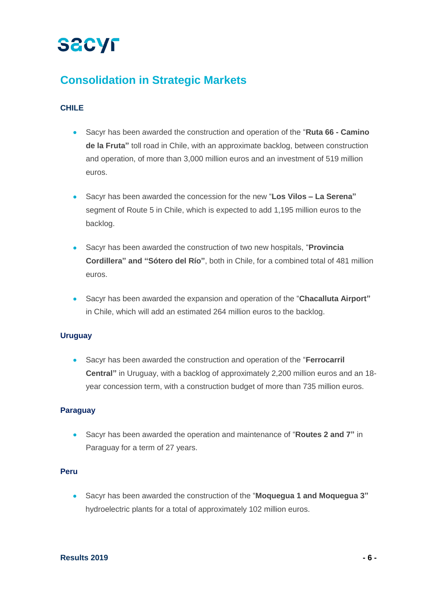## **Consolidation in Strategic Markets**

### **CHILE**

- Sacyr has been awarded the construction and operation of the "**Ruta 66 - Camino de la Fruta"** toll road in Chile, with an approximate backlog, between construction and operation, of more than 3,000 million euros and an investment of 519 million euros.
- Sacyr has been awarded the concession for the new "**Los Vilos – La Serena"** segment of Route 5 in Chile, which is expected to add 1,195 million euros to the backlog.
- Sacyr has been awarded the construction of two new hospitals, "**Provincia Cordillera" and "Sótero del Río"**, both in Chile, for a combined total of 481 million euros.
- Sacyr has been awarded the expansion and operation of the "**Chacalluta Airport"** in Chile, which will add an estimated 264 million euros to the backlog.

### **Uruguay**

• Sacyr has been awarded the construction and operation of the "**Ferrocarril Central"** in Uruguay, with a backlog of approximately 2,200 million euros and an 18 year concession term, with a construction budget of more than 735 million euros.

### **Paraguay**

• Sacyr has been awarded the operation and maintenance of "**Routes 2 and 7"** in Paraguay for a term of 27 years.

### **Peru**

• Sacyr has been awarded the construction of the "**Moquegua 1 and Moquegua 3"** hydroelectric plants for a total of approximately 102 million euros.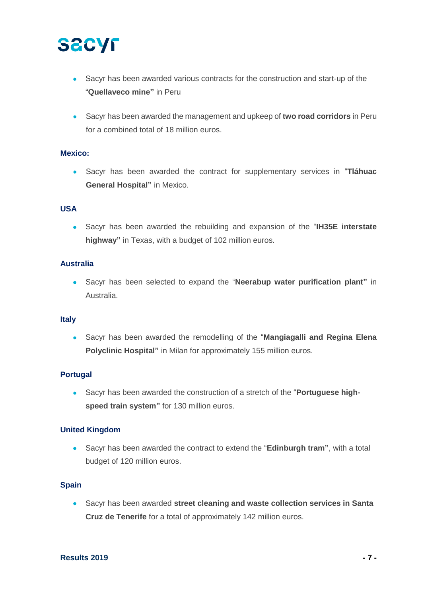- Sacyr has been awarded various contracts for the construction and start-up of the "**Quellaveco mine"** in Peru
- Sacyr has been awarded the management and upkeep of **two road corridors** in Peru for a combined total of 18 million euros.

### **Mexico:**

• Sacyr has been awarded the contract for supplementary services in "**Tláhuac General Hospital"** in Mexico.

### **USA**

• Sacyr has been awarded the rebuilding and expansion of the "**IH35E interstate highway"** in Texas, with a budget of 102 million euros.

### **Australia**

• Sacyr has been selected to expand the "**Neerabup water purification plant"** in Australia.

### **Italy**

• Sacyr has been awarded the remodelling of the "**Mangiagalli and Regina Elena Polyclinic Hospital"** in Milan for approximately 155 million euros.

### **Portugal**

• Sacyr has been awarded the construction of a stretch of the "**Portuguese highspeed train system"** for 130 million euros.

### **United Kingdom**

• Sacyr has been awarded the contract to extend the "**Edinburgh tram"**, with a total budget of 120 million euros.

### **Spain**

• Sacyr has been awarded **street cleaning and waste collection services in Santa Cruz de Tenerife** for a total of approximately 142 million euros.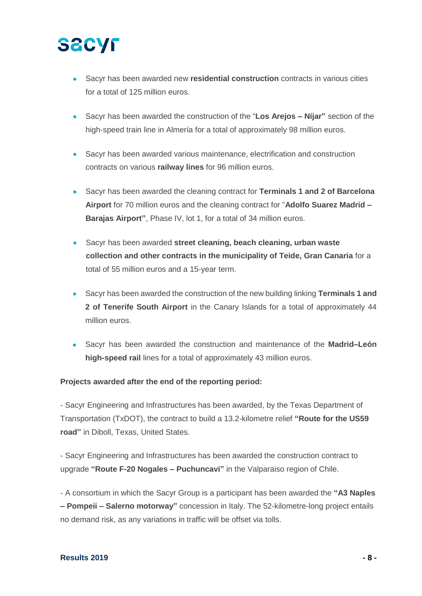- Sacyr has been awarded new **residential construction** contracts in various cities for a total of 125 million euros.
- Sacyr has been awarded the construction of the "**Los Arejos – Níjar"** section of the high-speed train line in Almería for a total of approximately 98 million euros.
- Sacyr has been awarded various maintenance, electrification and construction contracts on various **railway lines** for 96 million euros.
- Sacyr has been awarded the cleaning contract for **Terminals 1 and 2 of Barcelona Airport** for 70 million euros and the cleaning contract for "**Adolfo Suarez Madrid – Barajas Airport"**, Phase IV, lot 1, for a total of 34 million euros.
- Sacyr has been awarded **street cleaning, beach cleaning, urban waste collection and other contracts in the municipality of Teide, Gran Canaria** for a total of 55 million euros and a 15-year term.
- Sacyr has been awarded the construction of the new building linking **Terminals 1 and 2 of Tenerife South Airport** in the Canary Islands for a total of approximately 44 million euros.
- Sacyr has been awarded the construction and maintenance of the **Madrid–León high-speed rail** lines for a total of approximately 43 million euros.

### **Projects awarded after the end of the reporting period:**

- Sacyr Engineering and Infrastructures has been awarded, by the Texas Department of Transportation (TxDOT), the contract to build a 13.2-kilometre relief **"Route for the US59 road"** in Diboll, Texas, United States.

- Sacyr Engineering and Infrastructures has been awarded the construction contract to upgrade **"Route F-20 Nogales – Puchuncavi"** in the Valparaiso region of Chile.

- A consortium in which the Sacyr Group is a participant has been awarded the **"A3 Naples – Pompeii – Salerno motorway"** concession in Italy. The 52-kilometre-long project entails no demand risk, as any variations in traffic will be offset via tolls.

### **Results 2019 - 8 -**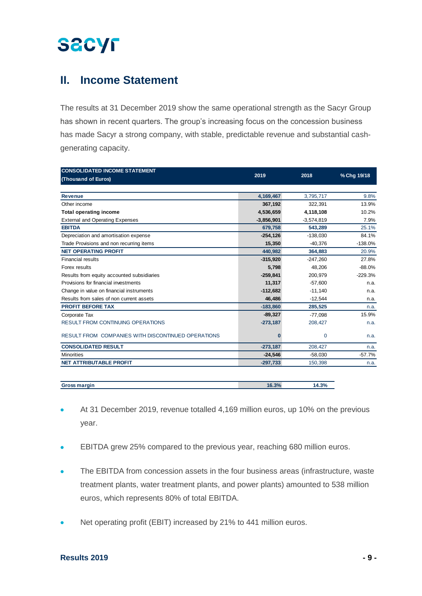## **II. Income Statement**

The results at 31 December 2019 show the same operational strength as the Sacyr Group has shown in recent quarters. The group's increasing focus on the concession business has made Sacyr a strong company, with stable, predictable revenue and substantial cashgenerating capacity.

| <b>CONSOLIDATED INCOME STATEMENT</b>               |              |              |             |
|----------------------------------------------------|--------------|--------------|-------------|
| (Thousand of Euros)                                | 2019         | 2018         | % Chg 19/18 |
|                                                    |              |              |             |
| <b>Revenue</b>                                     | 4,169,467    | 3,795,717    | 9.8%        |
| Other income                                       | 367,192      | 322,391      | 13.9%       |
| <b>Total operating income</b>                      | 4,536,659    | 4,118,108    | 10.2%       |
| <b>External and Operating Expenses</b>             | $-3,856,901$ | $-3,574,819$ | 7.9%        |
| <b>EBITDA</b>                                      | 679,758      | 543,289      | 25.1%       |
| Depreciation and amortisation expense              | $-254, 126$  | $-138,030$   | 84.1%       |
| Trade Provisions and non recurring items           | 15,350       | $-40,376$    | $-138.0%$   |
| <b>NET OPERATING PROFIT</b>                        | 440,982      | 364,883      | 20.9%       |
| <b>Financial results</b>                           | $-315,920$   | $-247,260$   | 27.8%       |
| Forex results                                      | 5,798        | 48.206       | $-88.0%$    |
| Results from equity accounted subsidiaries         | $-259,841$   | 200.979      | $-229.3%$   |
| Provisions for financial investments               | 11,317       | $-57,600$    | n.a.        |
| Change in value on financial instruments           | $-112,682$   | $-11,140$    | n.a.        |
| Results from sales of non current assets           | 46,486       | $-12,544$    | n.a.        |
| <b>PROFIT BEFORE TAX</b>                           | $-183,860$   | 285,525      | n.a.        |
| Corporate Tax                                      | $-89,327$    | $-77,098$    | 15.9%       |
| <b>RESULT FROM CONTINUING OPERATIONS</b>           | $-273,187$   | 208,427      | n.a.        |
| RESULT FROM COMPANIES WITH DISCONTINUED OPERATIONS | $\Omega$     | $\mathbf 0$  | n.a.        |
| <b>CONSOLIDATED RESULT</b>                         | $-273,187$   | 208,427      | n.a.        |
| <b>Minorities</b>                                  | $-24.546$    | $-58,030$    | $-57.7%$    |
| <b>NET ATTRIBUTABLE PROFIT</b>                     | $-297,733$   | 150,398      | n.a.        |
|                                                    |              |              |             |
| <b>Gross margin</b>                                | 16.3%        | 14.3%        |             |

- At 31 December 2019, revenue totalled 4,169 million euros, up 10% on the previous year.
- EBITDA grew 25% compared to the previous year, reaching 680 million euros.
- The EBITDA from concession assets in the four business areas (infrastructure, waste treatment plants, water treatment plants, and power plants) amounted to 538 million euros, which represents 80% of total EBITDA.
- Net operating profit (EBIT) increased by 21% to 441 million euros.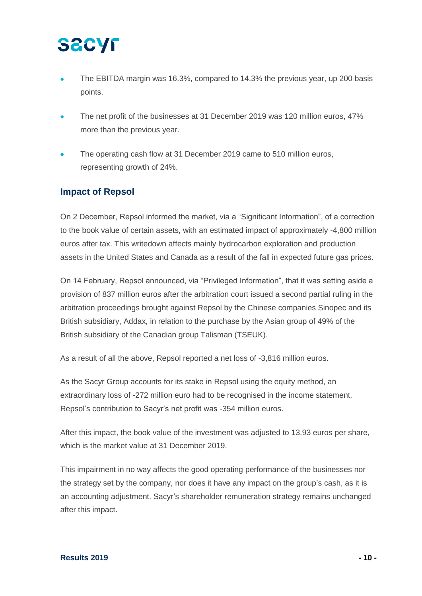- The EBITDA margin was 16.3%, compared to 14.3% the previous year, up 200 basis points.
- The net profit of the businesses at 31 December 2019 was 120 million euros, 47% more than the previous year.
- The operating cash flow at 31 December 2019 came to 510 million euros, representing growth of 24%.

### **Impact of Repsol**

On 2 December, Repsol informed the market, via a "Significant Information", of a correction to the book value of certain assets, with an estimated impact of approximately -4,800 million euros after tax. This writedown affects mainly hydrocarbon exploration and production assets in the United States and Canada as a result of the fall in expected future gas prices.

On 14 February, Repsol announced, via "Privileged Information", that it was setting aside a provision of 837 million euros after the arbitration court issued a second partial ruling in the arbitration proceedings brought against Repsol by the Chinese companies Sinopec and its British subsidiary, Addax, in relation to the purchase by the Asian group of 49% of the British subsidiary of the Canadian group Talisman (TSEUK).

As a result of all the above, Repsol reported a net loss of -3,816 million euros.

As the Sacyr Group accounts for its stake in Repsol using the equity method, an extraordinary loss of -272 million euro had to be recognised in the income statement. Repsol's contribution to Sacyr's net profit was -354 million euros.

After this impact, the book value of the investment was adjusted to 13.93 euros per share, which is the market value at 31 December 2019.

This impairment in no way affects the good operating performance of the businesses nor the strategy set by the company, nor does it have any impact on the group's cash, as it is an accounting adjustment. Sacyr's shareholder remuneration strategy remains unchanged after this impact.

#### **Results 2019 - 10 -**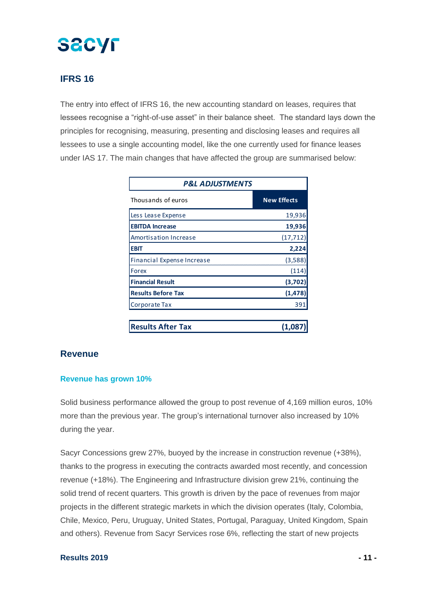### **IFRS 16**

The entry into effect of IFRS 16, the new accounting standard on leases, requires that lessees recognise a "right-of-use asset" in their balance sheet. The standard lays down the principles for recognising, measuring, presenting and disclosing leases and requires all lessees to use a single accounting model, like the one currently used for finance leases under IAS 17. The main changes that have affected the group are summarised below:

| <b>P&amp;L ADJUSTMENTS</b>   |                    |  |  |  |
|------------------------------|--------------------|--|--|--|
| Thousands of euros           | <b>New Effects</b> |  |  |  |
| Less Lease Expense           | 19,936             |  |  |  |
| <b>EBITDA Increase</b>       | 19,936             |  |  |  |
| <b>Amortisation Increase</b> | (17, 712)          |  |  |  |
| <b>EBIT</b>                  | 2,224              |  |  |  |
| Financial Expense Increase   | (3,588)            |  |  |  |
| Forex                        | (114               |  |  |  |
| <b>Financial Result</b>      | (3,702)            |  |  |  |
| <b>Results Before Tax</b>    | (1, 478)           |  |  |  |
| Corporate Tax                | 39:                |  |  |  |
| <b>Results After Tax</b>     | (1, 0)             |  |  |  |

### **Revenue**

### **Revenue has grown 10%**

Solid business performance allowed the group to post revenue of 4,169 million euros, 10% more than the previous year. The group's international turnover also increased by 10% during the year.

Sacyr Concessions grew 27%, buoyed by the increase in construction revenue (+38%), thanks to the progress in executing the contracts awarded most recently, and concession revenue (+18%). The Engineering and Infrastructure division grew 21%, continuing the solid trend of recent quarters. This growth is driven by the pace of revenues from major projects in the different strategic markets in which the division operates (Italy, Colombia, Chile, Mexico, Peru, Uruguay, United States, Portugal, Paraguay, United Kingdom, Spain and others). Revenue from Sacyr Services rose 6%, reflecting the start of new projects

### **Results 2019 - 11 -**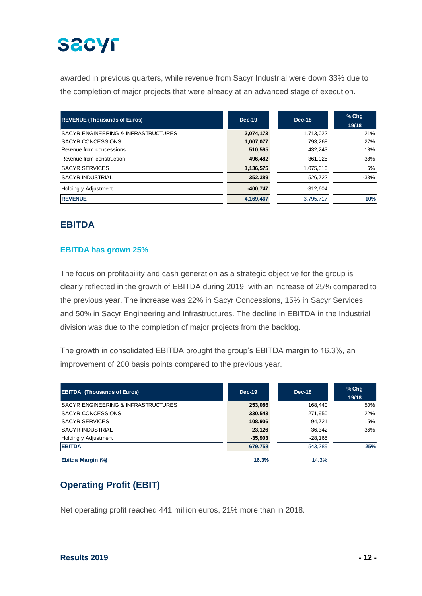awarded in previous quarters, while revenue from Sacyr Industrial were down 33% due to the completion of major projects that were already at an advanced stage of execution.

| <b>REVENUE (Thousands of Euros)</b> | <b>Dec-19</b> | $Dec-18$   | $%$ Chq<br>19/18 |
|-------------------------------------|---------------|------------|------------------|
| SACYR ENGINEERING & INFRASTRUCTURES | 2,074,173     | 1,713,022  | 21%              |
| <b>SACYR CONCESSIONS</b>            | 1,007,077     | 793.268    | 27%              |
| Revenue from concessions            | 510,595       | 432.243    | 18%              |
| Revenue from construction           | 496,482       | 361.025    | 38%              |
| <b>SACYR SERVICES</b>               | 1,136,575     | 1,075,310  | 6%               |
| <b>SACYR INDUSTRIAL</b>             | 352,389       | 526.722    | $-33%$           |
| Holding y Adjustment                | $-400.747$    | $-312.604$ |                  |
| <b>REVENUE</b>                      | 4,169,467     | 3,795,717  | 10%              |

## **EBITDA**

### **EBITDA has grown 25%**

The focus on profitability and cash generation as a strategic objective for the group is clearly reflected in the growth of EBITDA during 2019, with an increase of 25% compared to the previous year. The increase was 22% in Sacyr Concessions, 15% in Sacyr Services and 50% in Sacyr Engineering and Infrastructures. The decline in EBITDA in the Industrial division was due to the completion of major projects from the backlog.

The growth in consolidated EBITDA brought the group's EBITDA margin to 16.3%, an improvement of 200 basis points compared to the previous year.

| <b>EBITDA</b> (Thousands of Euros)  | $Dec-19$  | Dec-18    | $%$ Chq<br>19/18 |
|-------------------------------------|-----------|-----------|------------------|
| SACYR ENGINEERING & INFRASTRUCTURES | 253,086   | 168.440   | 50%              |
| <b>SACYR CONCESSIONS</b>            | 330,543   | 271,950   | 22%              |
| <b>SACYR SERVICES</b>               | 108,906   | 94.721    | 15%              |
| SACYR INDUSTRIAL                    | 23,126    | 36.342    | $-36%$           |
| Holding y Adjustment                | $-35,903$ | $-28,165$ |                  |
| <b>EBITDA</b>                       | 679.758   | 543.289   | 25%              |
| Ebitda Margin (%)                   | 16.3%     | 14.3%     |                  |

## **Operating Profit (EBIT)**

Net operating profit reached 441 million euros, 21% more than in 2018.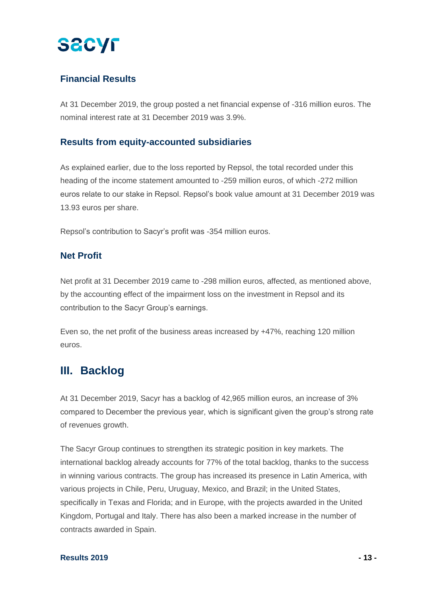

### **Financial Results**

At 31 December 2019, the group posted a net financial expense of -316 million euros. The nominal interest rate at 31 December 2019 was 3.9%.

### **Results from equity-accounted subsidiaries**

As explained earlier, due to the loss reported by Repsol, the total recorded under this heading of the income statement amounted to -259 million euros, of which -272 million euros relate to our stake in Repsol. Repsol's book value amount at 31 December 2019 was 13.93 euros per share.

Repsol's contribution to Sacyr's profit was -354 million euros.

### **Net Profit**

Net profit at 31 December 2019 came to -298 million euros, affected, as mentioned above, by the accounting effect of the impairment loss on the investment in Repsol and its contribution to the Sacyr Group's earnings.

Even so, the net profit of the business areas increased by +47%, reaching 120 million euros.

## **III. Backlog**

At 31 December 2019, Sacyr has a backlog of 42,965 million euros, an increase of 3% compared to December the previous year, which is significant given the group's strong rate of revenues growth.

The Sacyr Group continues to strengthen its strategic position in key markets. The international backlog already accounts for 77% of the total backlog, thanks to the success in winning various contracts. The group has increased its presence in Latin America, with various projects in Chile, Peru, Uruguay, Mexico, and Brazil; in the United States, specifically in Texas and Florida; and in Europe, with the projects awarded in the United Kingdom, Portugal and Italy. There has also been a marked increase in the number of contracts awarded in Spain.

### **Results 2019 - 13 -**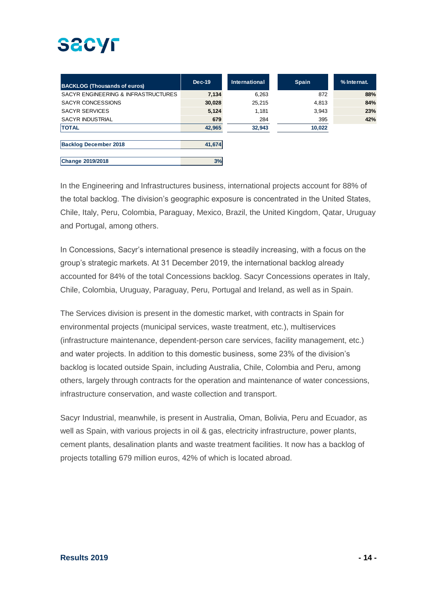| <b>BACKLOG (Thousands of euros)</b> | $Dec-19$ | <b>International</b> | <b>Spain</b> | % Internat. |
|-------------------------------------|----------|----------------------|--------------|-------------|
| SACYR ENGINEERING & INFRASTRUCTURES | 7,134    | 6,263                | 872          | 88%         |
| SACYR CONCESSIONS                   | 30,028   | 25,215               | 4,813        | 84%         |
| <b>SACYR SERVICES</b>               | 5,124    | 1,181                | 3,943        | 23%         |
| <b>SACYR INDUSTRIAL</b>             | 679      | 284                  | 395          | 42%         |
| <b>TOTAL</b>                        | 42,965   | 32,943               | 10,022       |             |
|                                     |          |                      |              |             |
| <b>Backlog December 2018</b>        | 41,674   |                      |              |             |
|                                     |          |                      |              |             |
| Change 2019/2018                    | 3%       |                      |              |             |

In the Engineering and Infrastructures business, international projects account for 88% of the total backlog. The division's geographic exposure is concentrated in the United States, Chile, Italy, Peru, Colombia, Paraguay, Mexico, Brazil, the United Kingdom, Qatar, Uruguay and Portugal, among others.

In Concessions, Sacyr's international presence is steadily increasing, with a focus on the group's strategic markets. At 31 December 2019, the international backlog already accounted for 84% of the total Concessions backlog. Sacyr Concessions operates in Italy, Chile, Colombia, Uruguay, Paraguay, Peru, Portugal and Ireland, as well as in Spain.

The Services division is present in the domestic market, with contracts in Spain for environmental projects (municipal services, waste treatment, etc.), multiservices (infrastructure maintenance, dependent-person care services, facility management, etc.) and water projects. In addition to this domestic business, some 23% of the division's backlog is located outside Spain, including Australia, Chile, Colombia and Peru, among others, largely through contracts for the operation and maintenance of water concessions, infrastructure conservation, and waste collection and transport.

Sacyr Industrial, meanwhile, is present in Australia, Oman, Bolivia, Peru and Ecuador, as well as Spain, with various projects in oil & gas, electricity infrastructure, power plants, cement plants, desalination plants and waste treatment facilities. It now has a backlog of projects totalling 679 million euros, 42% of which is located abroad.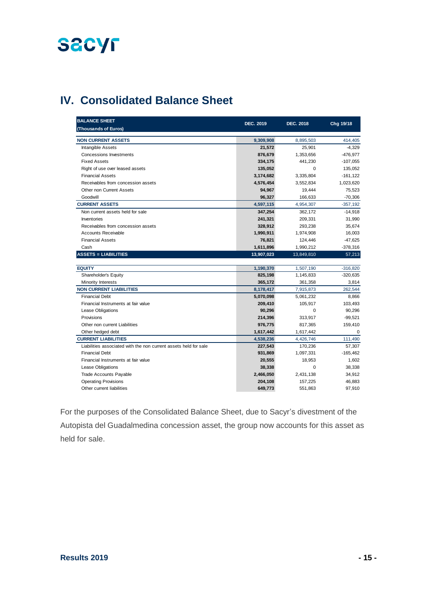## **IV. Consolidated Balance Sheet**

| <b>BALANCE SHEET</b><br>(Thousands of Euros)                     | <b>DEC. 2019</b> | <b>DEC. 2018</b> | Chg 19/18   |
|------------------------------------------------------------------|------------------|------------------|-------------|
| <b>NON CURRENT ASSETS</b>                                        | 9,309,908        | 8,895,503        | 414,405     |
| <b>Intangible Assets</b>                                         | 21,572           | 25,901           | $-4,329$    |
| <b>Concessions Investments</b>                                   | 876,679          | 1,353,656        | $-476,977$  |
| <b>Fixed Assets</b>                                              | 334,175          | 441,230          | $-107,055$  |
| Right of use over leased assets                                  | 135,052          | 0                | 135,052     |
| <b>Financial Assets</b>                                          | 3,174,682        | 3,335,804        | $-161, 122$ |
| Receivables from concession assets                               | 4,576,454        | 3,552,834        | 1,023,620   |
| Other non Current Assets                                         | 94,967           | 19,444           | 75,523      |
| Goodwill                                                         | 96,327           | 166,633          | $-70,306$   |
| <b>CURRENT ASSETS</b>                                            | 4,597,115        | 4,954,307        | $-357,192$  |
| Non current assets held for sale                                 | 347,254          | 362,172          | $-14,918$   |
| Inventories                                                      | 241,321          | 209,331          | 31,990      |
| Receivables from concession assets                               | 328,912          | 293,238          | 35,674      |
| Accounts Receivable                                              | 1,990,911        | 1,974,908        | 16,003      |
| <b>Financial Assets</b>                                          | 76,821           | 124,446          | $-47,625$   |
| Cash                                                             | 1,611,896        | 1,990,212        | $-378,316$  |
| <b>ASSETS = LIABILITIES</b>                                      | 13,907,023       | 13,849,810       | 57,213      |
|                                                                  |                  |                  |             |
| <b>EQUITY</b>                                                    | 1,190,370        | 1,507,190        | $-316,820$  |
| Shareholder's Equity                                             | 825,198          | 1,145,833        | $-320,635$  |
| Minority Interests                                               | 365,172          | 361,358          | 3,814       |
| <b>NON CURRENT LIABILITIES</b>                                   | 8,178,417        | 7,915,873        | 262,544     |
| <b>Financial Debt</b>                                            | 5,070,098        | 5,061,232        | 8,866       |
| Financial Instruments at fair value                              | 209,410          | 105,917          | 103,493     |
| Lease Obligations                                                | 90,296           | 0                | 90,296      |
| Provisions                                                       | 214,396          | 313,917          | $-99,521$   |
| Other non current Liabilities                                    | 976,775          | 817,365          | 159,410     |
| Other hedged debt                                                | 1,617,442        | 1,617,442        | $\mathbf 0$ |
| <b>CURRENT LIABILITIES</b>                                       | 4,538,236        | 4,426,746        | 111,490     |
| Liabilities associated with the non current assets held for sale | 227,543          | 170,236          | 57,307      |
| <b>Financial Debt</b>                                            | 931,869          | 1,097,331        | $-165,462$  |
| Financial Instruments at fair value                              | 20,555           | 18,953           | 1,602       |
| Lease Obligations                                                | 38,338           | 0                | 38,338      |
| <b>Trade Accounts Payable</b>                                    | 2,466,050        | 2,431,138        | 34,912      |
| <b>Operating Provisions</b>                                      | 204,108          | 157,225          | 46,883      |
| Other current liabilities                                        | 649,773          | 551,863          | 97,910      |

For the purposes of the Consolidated Balance Sheet, due to Sacyr's divestment of the Autopista del Guadalmedina concession asset, the group now accounts for this asset as held for sale.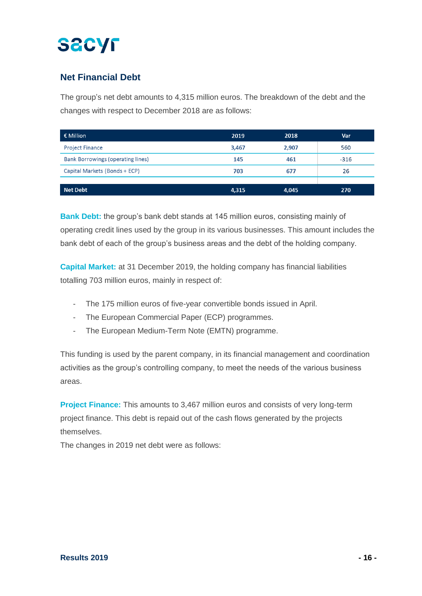## **Net Financial Debt**

The group's net debt amounts to 4,315 million euros. The breakdown of the debt and the changes with respect to December 2018 are as follows:

| € Million                         | 2019  | 2018  | Var    |
|-----------------------------------|-------|-------|--------|
| <b>Project Finance</b>            | 3,467 | 2.907 | 560    |
| Bank Borrowings (operating lines) | 145   | 461   | $-316$ |
| Capital Markets (Bonds + ECP)     | 703   | 677   | 26     |
|                                   |       |       |        |
| <b>Net Debt</b>                   | 4,315 | 4,045 | 270    |

**Bank Debt:** the group's bank debt stands at 145 million euros, consisting mainly of operating credit lines used by the group in its various businesses. This amount includes the bank debt of each of the group's business areas and the debt of the holding company.

**Capital Market:** at 31 December 2019, the holding company has financial liabilities totalling 703 million euros, mainly in respect of:

- The 175 million euros of five-year convertible bonds issued in April.
- The European Commercial Paper (ECP) programmes.
- The European Medium-Term Note (EMTN) programme.

This funding is used by the parent company, in its financial management and coordination activities as the group's controlling company, to meet the needs of the various business areas.

**Project Finance:** This amounts to 3,467 million euros and consists of very long-term project finance. This debt is repaid out of the cash flows generated by the projects themselves.

The changes in 2019 net debt were as follows: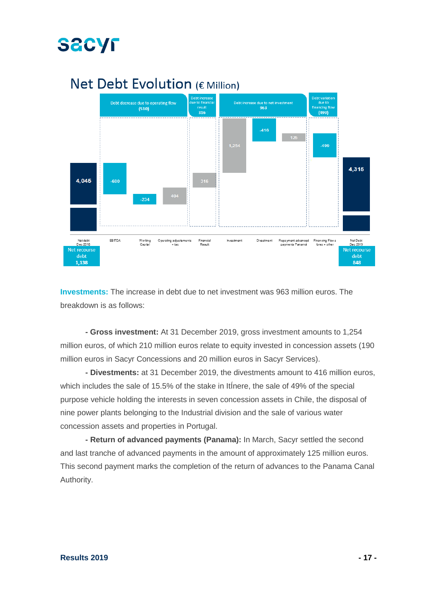

## Net Debt Evolution (€ Million)

**Investments:** The increase in debt due to net investment was 963 million euros. The breakdown is as follows:

**- Gross investment:** At 31 December 2019, gross investment amounts to 1,254 million euros, of which 210 million euros relate to equity invested in concession assets (190 million euros in Sacyr Concessions and 20 million euros in Sacyr Services).

**- Divestments:** at 31 December 2019, the divestments amount to 416 million euros, which includes the sale of 15.5% of the stake in ItÍnere, the sale of 49% of the special purpose vehicle holding the interests in seven concession assets in Chile, the disposal of nine power plants belonging to the Industrial division and the sale of various water concession assets and properties in Portugal.

**- Return of advanced payments (Panama):** In March, Sacyr settled the second and last tranche of advanced payments in the amount of approximately 125 million euros. This second payment marks the completion of the return of advances to the Panama Canal Authority.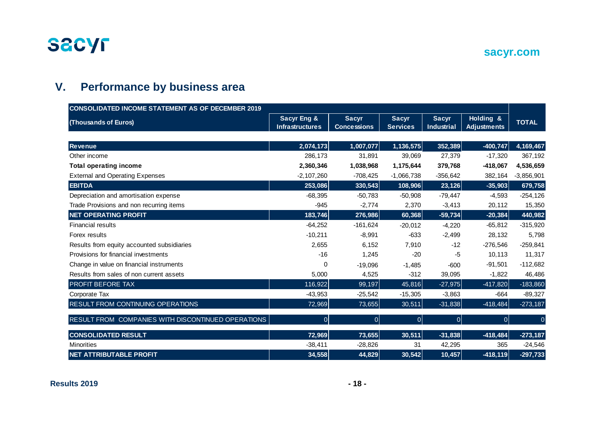

## **sacyr.com**

## **V. Performance by business area**

| <b>CONSOLIDATED INCOME STATEMENT AS OF DECEMBER 2019</b> |                                                  |                                    |                                 |                            |                                 |              |
|----------------------------------------------------------|--------------------------------------------------|------------------------------------|---------------------------------|----------------------------|---------------------------------|--------------|
| (Thousands of Euros)                                     | <b>Sacyr Eng &amp;</b><br><b>Infrastructures</b> | <b>Sacyr</b><br><b>Concessions</b> | <b>Sacyr</b><br><b>Services</b> | <b>Sacyr</b><br>Industrial | Holding &<br><b>Adjustments</b> | <b>TOTAL</b> |
|                                                          |                                                  |                                    |                                 |                            |                                 |              |
| <b>Revenue</b>                                           | 2,074,173                                        | 1,007,077                          | 1,136,575                       | 352,389                    | $-400,747$                      | 4,169,467    |
| Other income                                             | 286,173                                          | 31,891                             | 39,069                          | 27,379                     | $-17,320$                       | 367,192      |
| <b>Total operating income</b>                            | 2,360,346                                        | 1,038,968                          | 1,175,644                       | 379,768                    | $-418,067$                      | 4,536,659    |
| <b>External and Operating Expenses</b>                   | $-2,107,260$                                     | $-708,425$                         | $-1,066,738$                    | $-356,642$                 | 382,164                         | $-3,856,901$ |
| <b>EBITDA</b>                                            | 253,086                                          | 330,543                            | 108,906                         | 23,126                     | $-35,903$                       | 679,758      |
| Depreciation and amortisation expense                    | $-68,395$                                        | $-50,783$                          | $-50,908$                       | $-79,447$                  | $-4,593$                        | $-254,126$   |
| Trade Provisions and non recurring items                 | $-945$                                           | $-2,774$                           | 2,370                           | $-3,413$                   | 20,112                          | 15,350       |
| <b>NET OPERATING PROFIT</b>                              | 183,746                                          | 276,986                            | 60,368                          | $-59,734$                  | $-20,384$                       | 440,982      |
| <b>Financial results</b>                                 | $-64,252$                                        | $-161,624$                         | $-20,012$                       | $-4,220$                   | $-65,812$                       | $-315,920$   |
| Forex results                                            | $-10,211$                                        | $-8,991$                           | $-633$                          | $-2,499$                   | 28,132                          | 5,798        |
| Results from equity accounted subsidiaries               | 2,655                                            | 6,152                              | 7,910                           | $-12$                      | $-276,546$                      | $-259,841$   |
| Provisions for financial investments                     | $-16$                                            | 1,245                              | $-20$                           | -5                         | 10,113                          | 11,317       |
| Change in value on financial instruments                 | 0                                                | $-19,096$                          | $-1,485$                        | $-600$                     | $-91,501$                       | $-112,682$   |
| Results from sales of non current assets                 | 5,000                                            | 4,525                              | $-312$                          | 39,095                     | $-1,822$                        | 46,486       |
| PROFIT BEFORE TAX                                        | 116,922                                          | 99,197                             | 45,816                          | $-27,975$                  | $-417,820$                      | $-183,860$   |
| Corporate Tax                                            | $-43,953$                                        | $-25,542$                          | $-15,305$                       | $-3,863$                   | $-664$                          | $-89,327$    |
| RESULT FROM CONTINUING OPERATIONS                        | 72,969                                           | 73,655                             | 30,511                          | $-31,838$                  | $-418,484$                      | $-273,187$   |
| RESULT FROM COMPANIES WITH DISCONTINUED OPERATIONS       | $\overline{0}$                                   | 0                                  | $\overline{0}$                  | $\overline{0}$             | $\Omega$                        |              |
| <b>CONSOLIDATED RESULT</b>                               | 72,969                                           | 73,655                             | 30,511                          | $-31,838$                  | $-418,484$                      | $-273,187$   |
| <b>Minorities</b>                                        | $-38,411$                                        | $-28,826$                          | 31                              | 42,295                     | 365                             | $-24,546$    |
| <b>NET ATTRIBUTABLE PROFIT</b>                           | 34,558                                           | 44,829                             | 30,542                          | 10,457                     | $-418,119$                      | $-297,733$   |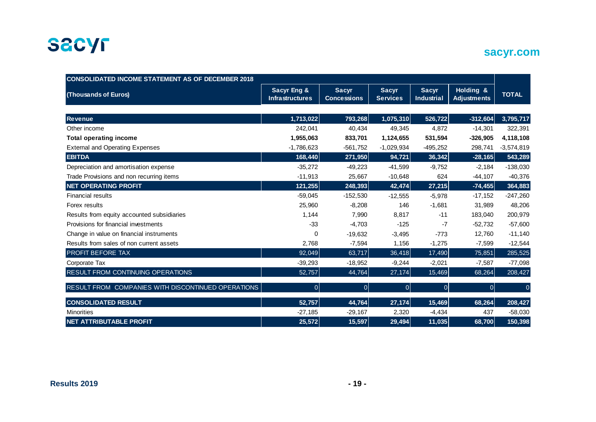

## **sacyr.com**

| <b>CONSOLIDATED INCOME STATEMENT AS OF DECEMBER 2018</b> |                                       |                                    |                                 |                                   |                                 |              |  |
|----------------------------------------------------------|---------------------------------------|------------------------------------|---------------------------------|-----------------------------------|---------------------------------|--------------|--|
| (Thousands of Euros)                                     | Sacyr Eng &<br><b>Infrastructures</b> | <b>Sacyr</b><br><b>Concessions</b> | <b>Sacyr</b><br><b>Services</b> | <b>Sacyr</b><br><b>Industrial</b> | Holding &<br><b>Adjustments</b> | <b>TOTAL</b> |  |
|                                                          |                                       |                                    |                                 |                                   |                                 |              |  |
| <b>Revenue</b>                                           | 1,713,022                             | 793,268                            | 1,075,310                       | 526,722                           | $-312,604$                      | 3,795,717    |  |
| Other income                                             | 242,041                               | 40,434                             | 49,345                          | 4,872                             | $-14,301$                       | 322,391      |  |
| <b>Total operating income</b>                            | 1,955,063                             | 833,701                            | 1,124,655                       | 531,594                           | $-326,905$                      | 4,118,108    |  |
| <b>External and Operating Expenses</b>                   | $-1,786,623$                          | $-561,752$                         | $-1,029,934$                    | $-495,252$                        | 298,741                         | $-3,574,819$ |  |
| <b>EBITDA</b>                                            | 168,440                               | 271,950                            | 94,721                          | 36,342                            | $-28,165$                       | 543,289      |  |
| Depreciation and amortisation expense                    | $-35,272$                             | $-49,223$                          | $-41,599$                       | $-9,752$                          | $-2,184$                        | $-138,030$   |  |
| Trade Provisions and non recurring items                 | $-11,913$                             | 25,667                             | $-10,648$                       | 624                               | $-44,107$                       | $-40,376$    |  |
| <b>NET OPERATING PROFIT</b>                              | 121,255                               | 248,393                            | 42,474                          | 27,215                            | $-74,455$                       | 364,883      |  |
| <b>Financial results</b>                                 | $-59,045$                             | $-152,530$                         | $-12,555$                       | $-5.978$                          | $-17,152$                       | $-247,260$   |  |
| Forex results                                            | 25,960                                | $-8,208$                           | 146                             | $-1,681$                          | 31,989                          | 48,206       |  |
| Results from equity accounted subsidiaries               | 1,144                                 | 7,990                              | 8,817                           | $-11$                             | 183,040                         | 200,979      |  |
| Provisions for financial investments                     | $-33$                                 | $-4,703$                           | $-125$                          | $-7$                              | $-52.732$                       | $-57,600$    |  |
| Change in value on financial instruments                 | 0                                     | $-19,632$                          | $-3,495$                        | $-773$                            | 12.760                          | $-11,140$    |  |
| Results from sales of non current assets                 | 2,768                                 | $-7,594$                           | 1,156                           | $-1,275$                          | $-7,599$                        | $-12,544$    |  |
| <b>PROFIT BEFORE TAX</b>                                 | 92,049                                | 63,717                             | 36,418                          | 17,490                            | 75,851                          | 285,525      |  |
| Corporate Tax                                            | $-39,293$                             | $-18,952$                          | $-9,244$                        | $-2,021$                          | $-7,587$                        | $-77,098$    |  |
| RESULT FROM CONTINUING OPERATIONS                        | 52,757                                | 44,764                             | 27,174                          | 15,469                            | 68,264                          | 208,427      |  |
| RESULT FROM COMPANIES WITH DISCONTINUED OPERATIONS       | 0                                     | 0                                  | $\Omega$                        | 0                                 | 0                               | $\Omega$     |  |
| <b>CONSOLIDATED RESULT</b>                               | 52,757                                | 44,764                             | 27,174                          | 15,469                            | 68,264                          | 208,427      |  |
| <b>Minorities</b>                                        | $-27,185$                             | $-29,167$                          | 2,320                           | $-4,434$                          | 437                             | $-58,030$    |  |
| <b>NET ATTRIBUTABLE PROFIT</b>                           | 25,572                                | 15,597                             | 29,494                          | 11,035                            | 68,700                          | 150,398      |  |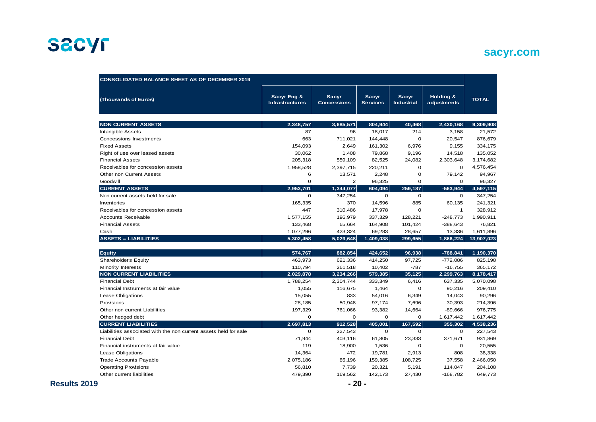## **sacyr.com**

| <b>CONSOLIDATED BALANCE SHEET AS OF DECEMBER 2019</b>            |                                       |                                    |                                 |                            |                          |              |
|------------------------------------------------------------------|---------------------------------------|------------------------------------|---------------------------------|----------------------------|--------------------------|--------------|
| (Thousands of Euros)                                             | Sacyr Eng &<br><b>Infrastructures</b> | <b>Sacyr</b><br><b>Concessions</b> | <b>Sacyr</b><br><b>Services</b> | <b>Sacyr</b><br>Industrial | Holding &<br>adjustments | <b>TOTAL</b> |
| <b>NON CURRENT ASSETS</b>                                        | 2,348,757                             | 3,685,571                          | 804,944                         | 40,468                     | 2,430,168                | 9,309,908    |
| <b>Intangible Assets</b>                                         | 87                                    | 96                                 | 18,017                          | 214                        | 3,158                    | 21,572       |
| Concessions Investments                                          | 663                                   | 711,021                            | 144,448                         | $\mathbf 0$                | 20,547                   | 876,679      |
| <b>Fixed Assets</b>                                              | 154,093                               | 2,649                              | 161,302                         | 6,976                      | 9,155                    | 334,175      |
| Right of use over leased assets                                  | 30,062                                | 1,408                              | 79,868                          | 9,196                      | 14,518                   | 135,052      |
| <b>Financial Assets</b>                                          | 205,318                               | 559,109                            | 82,525                          | 24,082                     | 2,303,648                | 3,174,682    |
| Receivables for concession assets                                | 1,958,528                             | 2,397,715                          | 220,211                         | 0                          | $\mathbf 0$              | 4,576,454    |
| Other non Current Assets                                         | 6                                     | 13,571                             | 2,248                           | $\mathbf 0$                | 79,142                   | 94,967       |
| Goodwill                                                         | $\mathbf 0$                           | 2                                  | 96,325                          | $\mathbf 0$                | $\mathbf 0$              | 96,327       |
| <b>CURRENT ASSETS</b>                                            | 2,953,701                             | 1,344,077                          | 604,094                         | 259,187                    | $-563,944$               | 4,597,115    |
| Non current assets held for sale                                 | 0                                     | 347,254                            | 0                               | $\mathbf 0$                | 0                        | 347,254      |
| Inventories                                                      | 165,335                               | 370                                | 14,596                          | 885                        | 60,135                   | 241,321      |
| Receivables for concession assets                                | 447                                   | 310,486                            | 17,978                          | $\mathbf 0$                | $\mathbf{1}$             | 328,912      |
| <b>Accounts Receivable</b>                                       | 1,577,155                             | 196,979                            | 337,329                         | 128,221                    | $-248,773$               | 1,990,911    |
| <b>Financial Assets</b>                                          | 133,468                               | 65,664                             | 164,908                         | 101,424                    | $-388,643$               | 76,821       |
| Cash                                                             | 1,077,296                             | 423,324                            | 69,283                          | 28,657                     | 13,336                   | 1,611,896    |
| <b>ASSETS = LIABILITIES</b>                                      | 5,302,458                             | 5,029,648                          | 1,409,038                       | 299,655                    | 1,866,224                | 13,907,023   |
| <b>Equity</b>                                                    | 574,767                               | 882,854                            | 424,652                         | 96,938                     | $-788,841$               | 1,190,370    |
| Shareholder's Equity                                             | 463,973                               | 621,336                            | 414,250                         | 97,725                     | $-772,086$               | 825,198      |
| <b>Minority Interests</b>                                        | 110,794                               | 261,518                            | 10,402                          | $-787$                     | $-16,755$                | 365,172      |
| <b>NON CURRENT LIABILITIES</b>                                   | 2,029,878                             | 3,234,266                          | 579,385                         | 35,125                     | 2,299,763                | 8,178,417    |
| <b>Financial Debt</b>                                            | 1,788,254                             | 2,304,744                          | 333,349                         | 6,416                      | 637,335                  | 5,070,098    |
| Financial Instruments at fair value                              | 1,055                                 | 116,675                            | 1,464                           | $\mathbf 0$                | 90,216                   | 209,410      |
| Lease Obligations                                                | 15,055                                | 833                                | 54,016                          | 6,349                      | 14,043                   | 90,296       |
| Provisions                                                       | 28,185                                | 50,948                             | 97,174                          | 7,696                      | 30,393                   | 214,396      |
| Other non current Liabilities                                    | 197,329                               | 761,066                            | 93,382                          | 14,664                     | $-89,666$                | 976,775      |
| Other hedged debt                                                | $\mathbf 0$                           | $\mathbf 0$                        | $\mathbf 0$                     | $\mathbf 0$                | 1,617,442                | 1,617,442    |
| <b>CURRENT LIABILITIES</b>                                       | 2,697,813                             | 912,528                            | 405,001                         | 167,592                    | 355,302                  | 4,538,236    |
| Liabilities associated with the non current assets held for sale | $\mathbf 0$                           | 227,543                            | 0                               | $\mathbf 0$                | 0                        | 227,543      |
| <b>Financial Debt</b>                                            | 71,944                                | 403,116                            | 61,805                          | 23,333                     | 371,671                  | 931,869      |
| Financial instruments at fair value                              | 119                                   | 18,900                             | 1,536                           | $\mathbf 0$                | $\mathbf 0$              | 20,555       |
| Lease Obligations                                                | 14,364                                | 472                                | 19,781                          | 2,913                      | 808                      | 38,338       |
| <b>Trade Accounts Payable</b>                                    | 2,075,186                             | 85,196                             | 159,385                         | 108,725                    | 37,558                   | 2,466,050    |
|                                                                  |                                       |                                    |                                 |                            |                          |              |
| <b>Operating Provisions</b>                                      | 56,810                                | 7,739                              | 20,321                          | 5,191                      | 114,047                  | 204,108      |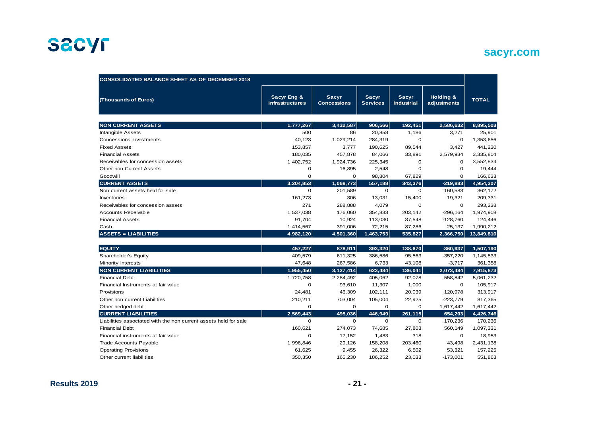

## **sacyr.com**

| <b>CONSOLIDATED BALANCE SHEET AS OF DECEMBER 2018</b>            |                                       |                                    |                                 |                                   |                          |              |  |
|------------------------------------------------------------------|---------------------------------------|------------------------------------|---------------------------------|-----------------------------------|--------------------------|--------------|--|
| (Thousands of Euros)                                             | Sacyr Eng &<br><b>Infrastructures</b> | <b>Sacyr</b><br><b>Concessions</b> | <b>Sacyr</b><br><b>Services</b> | <b>Sacyr</b><br><b>Industrial</b> | Holding &<br>adjustments | <b>TOTAL</b> |  |
| <b>NON CURRENT ASSETS</b>                                        | 1,777,267                             | 3,432,587                          | 906,566                         | 192,451                           | 2,586,632                | 8,895,503    |  |
| <b>Intangible Assets</b>                                         | 500                                   | 86                                 | 20,858                          | 1,186                             | 3,271                    | 25,901       |  |
| Concessions Investments                                          | 40,123                                | 1,029,214                          | 284,319                         | $\mathbf 0$                       | $\mathbf 0$              | 1,353,656    |  |
| <b>Fixed Assets</b>                                              | 153,857                               | 3,777                              | 190,625                         | 89,544                            | 3,427                    | 441,230      |  |
| <b>Financial Assets</b>                                          | 180,035                               | 457,878                            | 84,066                          | 33,891                            | 2,579,934                | 3,335,804    |  |
| Receivables for concession assets                                | 1,402,752                             | 1,924,736                          | 225,345                         | $\Omega$                          | $\Omega$                 | 3,552,834    |  |
| Other non Current Assets                                         | 0                                     | 16,895                             | 2,548                           | 0                                 | 0                        | 19,444       |  |
| Goodwill                                                         | $\mathbf 0$                           | $\mathbf 0$                        | 98,804                          | 67,829                            | 0                        | 166,633      |  |
| <b>CURRENT ASSETS</b>                                            | 3.204.853                             | 1,068,773                          | 557,188                         | 343,376                           | $-219,883$               | 4,954,307    |  |
| Non current assets held for sale                                 | $\Omega$                              | 201,589                            | $\Omega$                        | $\mathbf 0$                       | 160,583                  | 362,172      |  |
| Inventories                                                      | 161,273                               | 306                                | 13,031                          | 15,400                            | 19,321                   | 209,331      |  |
| Receivables for concession assets                                | 271                                   | 288,888                            | 4,079                           | $\Omega$                          | $\mathbf 0$              | 293,238      |  |
| <b>Accounts Receivable</b>                                       | 1,537,038                             | 176,060                            | 354,833                         | 203,142                           | $-296, 164$              | 1,974,908    |  |
| <b>Financial Assets</b>                                          | 91,704                                | 10,924                             | 113,030                         | 37,548                            | $-128,760$               | 124,446      |  |
| Cash                                                             | 1,414,567                             | 391,006                            | 72,215                          | 87,286                            | 25,137                   | 1,990,212    |  |
| <b>ASSETS = LIABILITIES</b>                                      | 4,982,120                             | 4,501,360                          | 1,463,753                       | 535,827                           | 2,366,750                | 13,849,810   |  |
| <b>EQUITY</b>                                                    | 457,227                               | 878,911                            | 393,320                         | 138,670                           | $-360,937$               | 1,507,190    |  |
| Shareholder's Equity                                             | 409,579                               | 611,325                            | 386,586                         | 95,563                            | $-357,220$               | 1,145,833    |  |
| Minority Interests                                               | 47,648                                | 267,586                            | 6,733                           | 43,108                            | $-3,717$                 | 361,358      |  |
| <b>NON CURRENT LIABILITIES</b>                                   | 1,955,450                             | 3,127,414                          | 623,484                         | 136,041                           | 2,073,484                | 7,915,873    |  |
| <b>Financial Debt</b>                                            | 1,720,758                             | 2,284,492                          | 405,062                         | 92,078                            | 558,842                  | 5,061,232    |  |
| Financial Instruments at fair value                              | $\Omega$                              | 93,610                             | 11,307                          | 1,000                             | $\Omega$                 | 105,917      |  |
| Provisions                                                       | 24,481                                | 46,309                             | 102,111                         | 20,039                            | 120,978                  | 313,917      |  |
| Other non current Liabilities                                    | 210,211                               | 703,004                            | 105,004                         | 22,925                            | $-223,779$               | 817,365      |  |
| Other hedged debt                                                | $\mathbf 0$                           | $\mathbf 0$                        | $\mathbf 0$                     | $\mathbf 0$                       | 1,617,442                | 1,617,442    |  |
| <b>CURRENT LIABILITIES</b>                                       | 2,569,443                             | 495,036                            | 446,949                         | 261,115                           | 654,203                  | 4,426,746    |  |
| Liabilities associated with the non current assets held for sale | $\Omega$                              | $\Omega$                           | $\Omega$                        | 0                                 | 170,236                  | 170,236      |  |
| <b>Financial Debt</b>                                            | 160,621                               | 274,073                            | 74,685                          | 27,803                            | 560,149                  | 1,097,331    |  |
| Financial instruments at fair value                              | $\Omega$                              | 17,152                             | 1,483                           | 318                               | $\Omega$                 | 18,953       |  |
| <b>Trade Accounts Payable</b>                                    | 1,996,846                             | 29,126                             | 158,208                         | 203,460                           | 43,498                   | 2,431,138    |  |
| <b>Operating Provisions</b>                                      | 61,625                                | 9,455                              | 26,322                          | 6,502                             | 53,321                   | 157,225      |  |
| Other current liabilities                                        | 350,350                               | 165,230                            | 186,252                         | 23,033                            | $-173,001$               | 551,863      |  |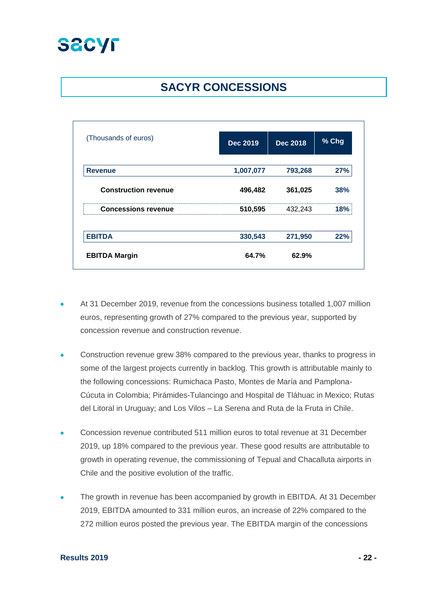## **SACYR CONCESSIONS**

| (Thousands of euros)        | <b>Dec 2019</b> | <b>Dec 2018</b> | % Chg |
|-----------------------------|-----------------|-----------------|-------|
|                             |                 |                 |       |
| <b>Revenue</b>              | 1,007,077       | 793,268         | 27%   |
| <b>Construction revenue</b> | 496,482         | 361,025         | 38%   |
| <b>Concessions revenue</b>  | 510,595         | 432,243         | 18%   |
| <b>EBITDA</b>               | 330,543         | 271,950         | 22%   |
| <b>EBITDA Margin</b>        | 64.7%           | 62.9%           |       |

- At 31 December 2019, revenue from the concessions business totalled 1,007 million euros, representing growth of 27% compared to the previous year, supported by concession revenue and construction revenue.
- Construction revenue grew 38% compared to the previous year, thanks to progress in some of the largest projects currently in backlog. This growth is attributable mainly to the following concessions: Rumichaca Pasto, Montes de María and Pamplona-Cúcuta in Colombia; Pirámides-Tulancingo and Hospital de Tláhuac in Mexico; Rutas del Litoral in Uruguay; and Los Vilos – La Serena and Ruta de la Fruta in Chile.
- Concession revenue contributed 511 million euros to total revenue at 31 December 2019, up 18% compared to the previous year. These good results are attributable to growth in operating revenue, the commissioning of Tepual and Chacalluta airports in Chile and the positive evolution of the traffic.
- The growth in revenue has been accompanied by growth in EBITDA. At 31 December 2019, EBITDA amounted to 331 million euros, an increase of 22% compared to the 272 million euros posted the previous year. The EBITDA margin of the concessions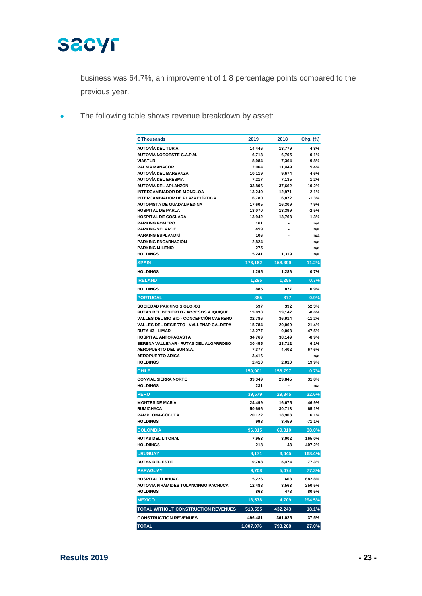

business was 64.7%, an improvement of 1.8 percentage points compared to the previous year.

• The following table shows revenue breakdown by asset:

| € Thousands                                                                              | 2019             | 2018            | Chg. (%)             |
|------------------------------------------------------------------------------------------|------------------|-----------------|----------------------|
| AUTOVÍA DEL TURIA                                                                        | 14,446           | 13,779          | 4.8%                 |
| <b>AUTOVÍA NOROESTE C.A.R.M.</b>                                                         | 6,713            | 6,705           | 0.1%                 |
| <b>VIASTUR</b>                                                                           | 8,084            | 7,364           | 9.8%                 |
| <b>PALMA MANACOR</b>                                                                     | 12,064           | 11,449          | 5.4%                 |
| AUTOVÍA DEL BARBANZA                                                                     | 10,119           | 9,674           | 4.6%                 |
| <b>AUTOVÍA DEL ERESMA</b>                                                                | 7,217            | 7,135           | 1.2%                 |
| AUTOVÍA DEL ARLANZÓN                                                                     | 33,806           | 37,662          | $-10.2%$             |
| <b>INTERCAMBIADOR DE MONCLOA</b>                                                         | 13,249           | 12,971          | 2.1%                 |
| INTERCAMBIADOR DE PLAZA ELÍPTICA                                                         | 6,780            | 6,872           | $-1.3%$              |
| <b>AUTOPISTA DE GUADALMEDINA</b>                                                         | 17,605           | 16,309          | 7.9%                 |
| <b>HOSPITAL DE PARLA</b>                                                                 | 13,070           | 13,399          | $-2.5%$              |
| HOSPITAL DE COSLADA                                                                      | 13,942           | 13,763          | 1.3%                 |
| <b>PARKING ROMERO</b>                                                                    | 161              | ٠               | n/a                  |
| <b>PARKING VELARDE</b><br><b>PARKING ESPLANDIU</b>                                       | 459<br>106       |                 | n/a<br>n/a           |
| <b>PARKING ENCARNACIÓN</b>                                                               | 2,824            |                 | n/a                  |
| <b>PARKING MILENIO</b>                                                                   | 275              |                 | n/a                  |
| <b>HOLDINGS</b>                                                                          | 15,241           | 1,319           | n/a                  |
| <b>SPAIN</b>                                                                             | 176,162          | 158,399         | 11.2%                |
| <b>HOLDINGS</b>                                                                          | 1,295            | 1,286           | 0.7%                 |
| <b>IRELAND</b>                                                                           |                  | 1,286           |                      |
|                                                                                          | 1,295            |                 | 0.7%<br>0.9%         |
| <b>HOLDINGS</b>                                                                          | 885              | 877             |                      |
| <b>PORTUGAL</b>                                                                          | 885              | 877             | 0.9%                 |
| SOCIEDAD PARKING SIGLO XXI                                                               | 597              | 392             | 52.3%                |
| <b>RUTAS DEL DESIERTO - ACCESOS A IQUIQUE</b>                                            | 19,030           | 19,147          | $-0.6%$              |
| <b>VALLES DEL BIO BIO - CONCEPCIÓN CABRERO</b><br>VALLES DEL DESIERTO - VALLENAR CALDERA | 32,786           | 36,914          | $-11.2%$<br>$-21.4%$ |
| <b>RUTA 43 - LIMARI</b>                                                                  | 15,784<br>13,277 | 20,069          | 47.5%                |
| <b>HOSPITAL ANTOFAGASTA</b>                                                              | 34,769           | 9,003<br>38,149 | $-8.9%$              |
| SERENA VALLENAR - RUTAS DEL ALGARROBO                                                    | 30,455           | 28,712          | 6.1%                 |
| <b>AEROPUERTO DEL SUR S.A.</b>                                                           | 7,377            | 4,402           | 67.6%                |
| <b>AEROPUERTO ARICA</b>                                                                  | 3,416            |                 | n/a                  |
| <b>HOLDINGS</b>                                                                          | 2,410            | 2,010           | 19.9%                |
| <b>CHILE</b>                                                                             | 159,901          | 158,797         | 0.7%                 |
| <b>CONVIAL SIERRA NORTE</b>                                                              | 39,349           | 29,845          | 31.8%                |
| <b>HOLDINGS</b>                                                                          | 231              |                 | n/a                  |
| <b>PERU</b>                                                                              | 39,579           | 29,845          | 32.6%                |
| <b>MONTES DE MARÍA</b>                                                                   | 24,499           | 16,675          | 46.9%                |
| <b>RUMICHACA</b>                                                                         | 50,696           | 30,713          | 65.1%                |
| <b>PAMPLONA-CÚCUTA</b>                                                                   | 20,122           | 18,963          | 6.1%                 |
| <b>HOLDINGS</b>                                                                          | 998              | 3,459           | $-71.1%$             |
| <b>COLOMBIA</b>                                                                          | 96,315           | 69,810          | 38.0%                |
| <b>RUTAS DEL LITORAL</b>                                                                 | 7,953            | 3,002           | 165.0%               |
| <b>HOLDIINGS</b>                                                                         | 218              | 43              | 407.2%               |
| <b>URUGUAY</b>                                                                           | 8,171            | 3,045           | 168.4%               |
| <b>RUTAS DEL ESTE</b>                                                                    | 9,708            | 5,474           | 77.3%                |
| <b>PARAGUAY</b>                                                                          | 9,708            | 5,474           | 77.3%                |
| <b>HOSPITAL TLAHUAC</b>                                                                  | 5,226            | 668             | 682.8%               |
| AUTOVIA PIRÁMIDES TULANCINGO PACHUCA                                                     | 12,488           | 3,563           | 250.5%               |
| <b>HOLDINGS</b>                                                                          | 863              | 478             | 80.5%                |
| <b>MEXICO</b>                                                                            | 18,578           | 4,709           | 294.5%               |
| TOTAL WITHOUT CONSTRUCTION REVENUES                                                      | 510,595          | 432,243         | 18.1%                |
| <b>CONSTRUCTION REVENUES</b>                                                             | 496,481          | 361,025         | 37.5%                |
| <b>TOTAL</b>                                                                             | 1,007,076        | 793,268         | 27.0%                |
|                                                                                          |                  |                 |                      |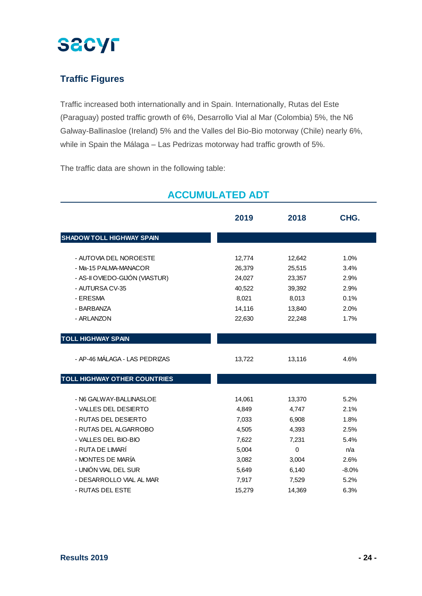

## **Traffic Figures**

Traffic increased both internationally and in Spain. Internationally, Rutas del Este (Paraguay) posted traffic growth of 6%, Desarrollo Vial al Mar (Colombia) 5%, the N6 Galway-Ballinasloe (Ireland) 5% and the Valles del Bio-Bio motorway (Chile) nearly 6%, while in Spain the Málaga – Las Pedrizas motorway had traffic growth of 5%.

The traffic data are shown in the following table:

|                                     | 2019   | 2018     | CHG.    |
|-------------------------------------|--------|----------|---------|
| <b>SHADOW TOLL HIGHWAY SPAIN</b>    |        |          |         |
|                                     |        |          |         |
| - AUTOVIA DEL NOROESTE              | 12,774 | 12,642   | 1.0%    |
| - Ma-15 PALMA-MANACOR               | 26,379 | 25,515   | 3.4%    |
| - AS-II OVIEDO-GIJÓN (VIASTUR)      | 24,027 | 23,357   | 2.9%    |
| - AUTURSA CV-35                     | 40,522 | 39,392   | 2.9%    |
| - ERESMA                            | 8,021  | 8,013    | 0.1%    |
| - BARBANZA                          | 14,116 | 13,840   | 2.0%    |
| - ARLANZON                          | 22,630 | 22,248   | 1.7%    |
| <b>TOLL HIGHWAY SPAIN</b>           |        |          |         |
| - AP-46 MÁLAGA - LAS PEDRIZAS       | 13,722 | 13,116   | 4.6%    |
| <b>TOLL HIGHWAY OTHER COUNTRIES</b> |        |          |         |
| - N6 GALWAY-BALLINASLOE             | 14,061 | 13,370   | 5.2%    |
| - VALLES DEL DESIERTO               | 4,849  | 4,747    | 2.1%    |
| - RUTAS DEL DESIERTO                | 7,033  | 6,908    | 1.8%    |
| - RUTAS DEL ALGARROBO               | 4,505  | 4,393    | 2.5%    |
| - VALLES DEL BIO-BIO                | 7,622  | 7,231    | 5.4%    |
| - RUTA DE LIMARÍ                    | 5,004  | $\Omega$ | n/a     |
| - MONTES DE MARÍA                   | 3,082  | 3,004    | 2.6%    |
| - UNIÓN VIAL DEL SUR                | 5,649  | 6,140    | $-8.0%$ |
| - DESARROLLO VIAL AL MAR            | 7,917  | 7,529    | 5.2%    |
| - RUTAS DEL ESTE                    | 15,279 | 14,369   | 6.3%    |

## **ACCUMULATED ADT**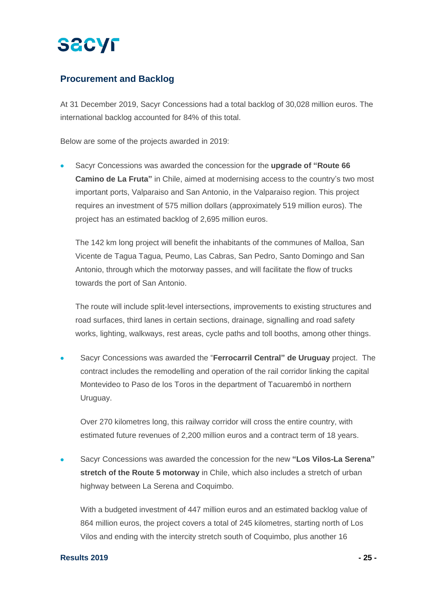### **Procurement and Backlog**

At 31 December 2019, Sacyr Concessions had a total backlog of 30,028 million euros. The international backlog accounted for 84% of this total.

Below are some of the projects awarded in 2019:

• Sacyr Concessions was awarded the concession for the **upgrade of "Route 66 Camino de La Fruta"** in Chile, aimed at modernising access to the country's two most important ports, Valparaiso and San Antonio, in the Valparaiso region. This project requires an investment of 575 million dollars (approximately 519 million euros). The project has an estimated backlog of 2,695 million euros.

The 142 km long project will benefit the inhabitants of the communes of Malloa, San Vicente de Tagua Tagua, Peumo, Las Cabras, San Pedro, Santo Domingo and San Antonio, through which the motorway passes, and will facilitate the flow of trucks towards the port of San Antonio.

The route will include split-level intersections, improvements to existing structures and road surfaces, third lanes in certain sections, drainage, signalling and road safety works, lighting, walkways, rest areas, cycle paths and toll booths, among other things.

• Sacyr Concessions was awarded the "**Ferrocarril Central" de Uruguay** project. The contract includes the remodelling and operation of the rail corridor linking the capital Montevideo to Paso de los Toros in the department of Tacuarembó in northern Uruguay.

Over 270 kilometres long, this railway corridor will cross the entire country, with estimated future revenues of 2,200 million euros and a contract term of 18 years.

• Sacyr Concessions was awarded the concession for the new **"Los Vilos-La Serena" stretch of the Route 5 motorway** in Chile, which also includes a stretch of urban highway between La Serena and Coquimbo.

With a budgeted investment of 447 million euros and an estimated backlog value of 864 million euros, the project covers a total of 245 kilometres, starting north of Los Vilos and ending with the intercity stretch south of Coquimbo, plus another 16

### **Results 2019 - 25 -**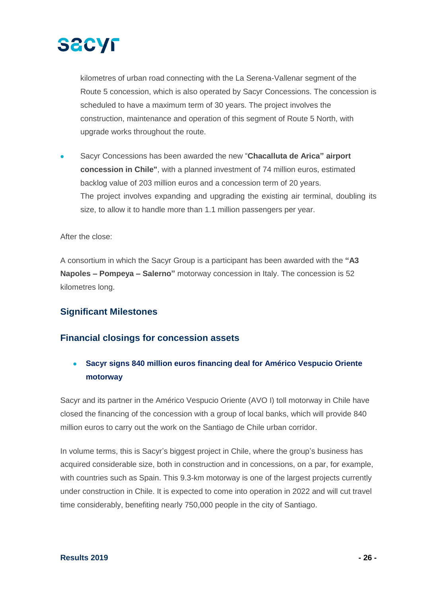

kilometres of urban road connecting with the La Serena-Vallenar segment of the Route 5 concession, which is also operated by Sacyr Concessions. The concession is scheduled to have a maximum term of 30 years. The project involves the construction, maintenance and operation of this segment of Route 5 North, with upgrade works throughout the route.

• Sacyr Concessions has been awarded the new "**Chacalluta de Arica" airport concession in Chile"**, with a planned investment of 74 million euros, estimated backlog value of 203 million euros and a concession term of 20 years. The project involves expanding and upgrading the existing air terminal, doubling its size, to allow it to handle more than 1.1 million passengers per year.

After the close:

A consortium in which the Sacyr Group is a participant has been awarded with the **"A3 Napoles – Pompeya – Salerno"** motorway concession in Italy. The concession is 52 kilometres long.

### **Significant Milestones**

### **Financial closings for concession assets**

• **Sacyr signs 840 million euros financing deal for Américo Vespucio Oriente motorway**

Sacyr and its partner in the Américo Vespucio Oriente (AVO I) toll motorway in Chile have closed the financing of the concession with a group of local banks, which will provide 840 million euros to carry out the work on the Santiago de Chile urban corridor.

In volume terms, this is Sacyr's biggest project in Chile, where the group's business has acquired considerable size, both in construction and in concessions, on a par, for example, with countries such as Spain. This 9.3-km motorway is one of the largest projects currently under construction in Chile. It is expected to come into operation in 2022 and will cut travel time considerably, benefiting nearly 750,000 people in the city of Santiago.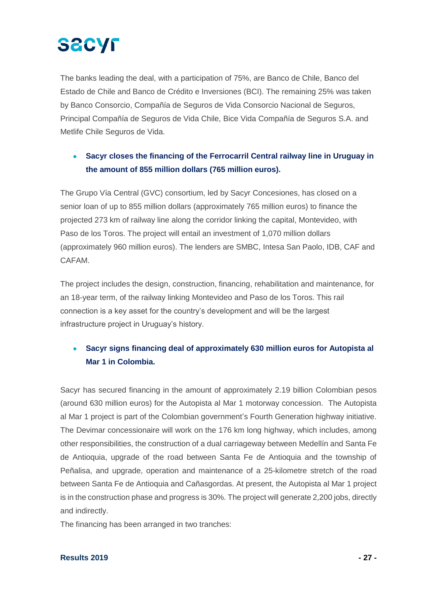# **SACYF**

The banks leading the deal, with a participation of 75%, are Banco de Chile, Banco del Estado de Chile and Banco de Crédito e Inversiones (BCI). The remaining 25% was taken by Banco Consorcio, Compañía de Seguros de Vida Consorcio Nacional de Seguros, Principal Compañía de Seguros de Vida Chile, Bice Vida Compañía de Seguros S.A. and Metlife Chile Seguros de Vida.

### • **Sacyr closes the financing of the Ferrocarril Central railway line in Uruguay in the amount of 855 million dollars (765 million euros).**

The Grupo Vía Central (GVC) consortium, led by Sacyr Concesiones, has closed on a senior loan of up to 855 million dollars (approximately 765 million euros) to finance the projected 273 km of railway line along the corridor linking the capital, Montevideo, with Paso de los Toros. The project will entail an investment of 1,070 million dollars (approximately 960 million euros). The lenders are SMBC, Intesa San Paolo, IDB, CAF and CAFAM.

The project includes the design, construction, financing, rehabilitation and maintenance, for an 18-year term, of the railway linking Montevideo and Paso de los Toros. This rail connection is a key asset for the country's development and will be the largest infrastructure project in Uruguay's history.

## • **Sacyr signs financing deal of approximately 630 million euros for Autopista al Mar 1 in Colombia.**

Sacyr has secured financing in the amount of approximately 2.19 billion Colombian pesos (around 630 million euros) for the Autopista al Mar 1 motorway concession. The Autopista al Mar 1 project is part of the Colombian government's Fourth Generation highway initiative. The Devimar concessionaire will work on the 176 km long highway, which includes, among other responsibilities, the construction of a dual carriageway between Medellín and Santa Fe de Antioquia, upgrade of the road between Santa Fe de Antioquia and the township of Peñalisa, and upgrade, operation and maintenance of a 25-kilometre stretch of the road between Santa Fe de Antioquia and Cañasgordas. At present, the Autopista al Mar 1 project is in the construction phase and progress is 30%. The project will generate 2,200 jobs, directly and indirectly.

The financing has been arranged in two tranches: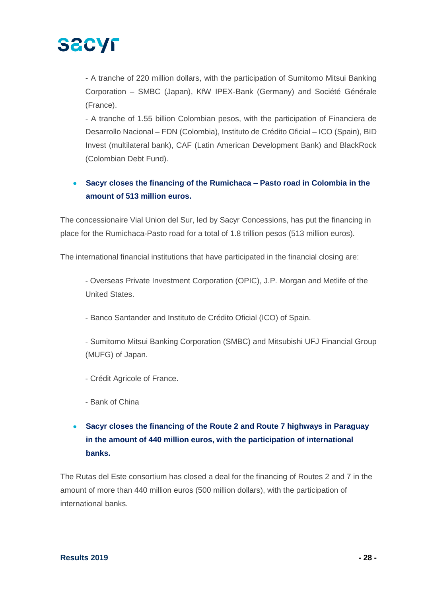

- A tranche of 220 million dollars, with the participation of Sumitomo Mitsui Banking Corporation – SMBC (Japan), KfW IPEX-Bank (Germany) and Société Générale (France).

- A tranche of 1.55 billion Colombian pesos, with the participation of Financiera de Desarrollo Nacional – FDN (Colombia), Instituto de Crédito Oficial – ICO (Spain), BID Invest (multilateral bank), CAF (Latin American Development Bank) and BlackRock (Colombian Debt Fund).

### • **Sacyr closes the financing of the Rumichaca – Pasto road in Colombia in the amount of 513 million euros.**

The concessionaire Vial Union del Sur, led by Sacyr Concessions, has put the financing in place for the Rumichaca-Pasto road for a total of 1.8 trillion pesos (513 million euros).

The international financial institutions that have participated in the financial closing are:

- Overseas Private Investment Corporation (OPIC), J.P. Morgan and Metlife of the United States.

- Banco Santander and Instituto de Crédito Oficial (ICO) of Spain.

- Sumitomo Mitsui Banking Corporation (SMBC) and Mitsubishi UFJ Financial Group (MUFG) of Japan.

- Crédit Agricole of France.
- Bank of China

## • **Sacyr closes the financing of the Route 2 and Route 7 highways in Paraguay in the amount of 440 million euros, with the participation of international banks.**

The Rutas del Este consortium has closed a deal for the financing of Routes 2 and 7 in the amount of more than 440 million euros (500 million dollars), with the participation of international banks.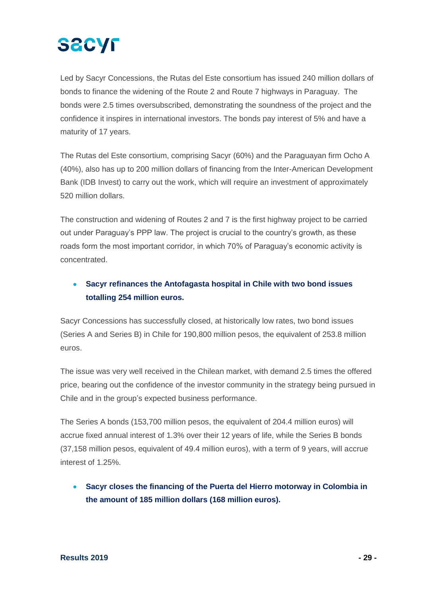# **SACYF**

Led by Sacyr Concessions, the Rutas del Este consortium has issued 240 million dollars of bonds to finance the widening of the Route 2 and Route 7 highways in Paraguay. The bonds were 2.5 times oversubscribed, demonstrating the soundness of the project and the confidence it inspires in international investors. The bonds pay interest of 5% and have a maturity of 17 years.

The Rutas del Este consortium, comprising Sacyr (60%) and the Paraguayan firm Ocho A (40%), also has up to 200 million dollars of financing from the Inter-American Development Bank (IDB Invest) to carry out the work, which will require an investment of approximately 520 million dollars.

The construction and widening of Routes 2 and 7 is the first highway project to be carried out under Paraguay's PPP law. The project is crucial to the country's growth, as these roads form the most important corridor, in which 70% of Paraguay's economic activity is concentrated.

## • **Sacyr refinances the Antofagasta hospital in Chile with two bond issues totalling 254 million euros.**

Sacyr Concessions has successfully closed, at historically low rates, two bond issues (Series A and Series B) in Chile for 190,800 million pesos, the equivalent of 253.8 million euros.

The issue was very well received in the Chilean market, with demand 2.5 times the offered price, bearing out the confidence of the investor community in the strategy being pursued in Chile and in the group's expected business performance.

The Series A bonds (153,700 million pesos, the equivalent of 204.4 million euros) will accrue fixed annual interest of 1.3% over their 12 years of life, while the Series B bonds (37,158 million pesos, equivalent of 49.4 million euros), with a term of 9 years, will accrue interest of 1.25%.

• **Sacyr closes the financing of the Puerta del Hierro motorway in Colombia in the amount of 185 million dollars (168 million euros).**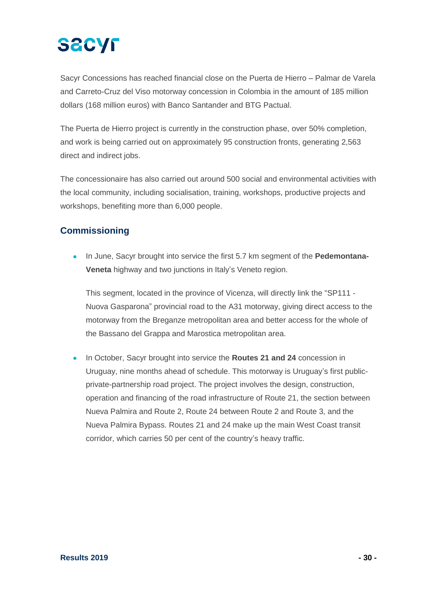# **SACYF**

Sacyr Concessions has reached financial close on the Puerta de Hierro – Palmar de Varela and Carreto-Cruz del Viso motorway concession in Colombia in the amount of 185 million dollars (168 million euros) with Banco Santander and BTG Pactual.

The Puerta de Hierro project is currently in the construction phase, over 50% completion, and work is being carried out on approximately 95 construction fronts, generating 2,563 direct and indirect jobs.

The concessionaire has also carried out around 500 social and environmental activities with the local community, including socialisation, training, workshops, productive projects and workshops, benefiting more than 6,000 people.

## **Commissioning**

• In June, Sacyr brought into service the first 5.7 km segment of the **Pedemontana-Veneta** highway and two junctions in Italy's Veneto region.

This segment, located in the province of Vicenza, will directly link the "SP111 - Nuova Gasparona" provincial road to the A31 motorway, giving direct access to the motorway from the Breganze metropolitan area and better access for the whole of the Bassano del Grappa and Marostica metropolitan area.

• In October, Sacyr brought into service the **Routes 21 and 24** concession in Uruguay, nine months ahead of schedule. This motorway is Uruguay's first publicprivate-partnership road project. The project involves the design, construction, operation and financing of the road infrastructure of Route 21, the section between Nueva Palmira and Route 2, Route 24 between Route 2 and Route 3, and the Nueva Palmira Bypass. Routes 21 and 24 make up the main West Coast transit corridor, which carries 50 per cent of the country's heavy traffic.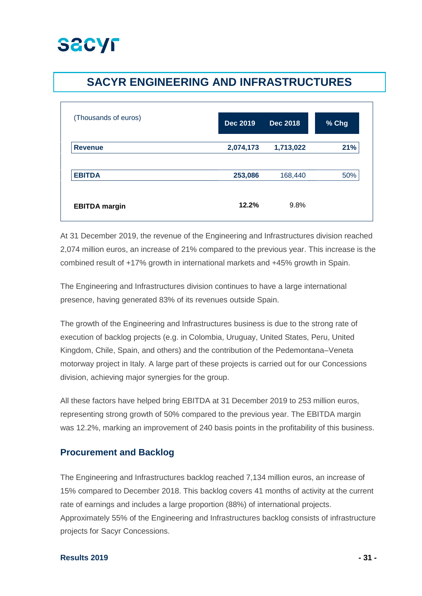

## **SACYR ENGINEERING AND INFRASTRUCTURES**

| (Thousands of euros) | <b>Dec 2019</b> | <b>Dec 2018</b> | % Chg |
|----------------------|-----------------|-----------------|-------|
| <b>Revenue</b>       | 2,074,173       | 1,713,022       | 21%   |
| <b>EBITDA</b>        | 253,086         | 168,440         | 50%   |
| <b>EBITDA</b> margin | 12.2%           | 9.8%            |       |

At 31 December 2019, the revenue of the Engineering and Infrastructures division reached 2,074 million euros, an increase of 21% compared to the previous year. This increase is the combined result of +17% growth in international markets and +45% growth in Spain.

The Engineering and Infrastructures division continues to have a large international presence, having generated 83% of its revenues outside Spain.

The growth of the Engineering and Infrastructures business is due to the strong rate of execution of backlog projects (e.g. in Colombia, Uruguay, United States, Peru, United Kingdom, Chile, Spain, and others) and the contribution of the Pedemontana–Veneta motorway project in Italy. A large part of these projects is carried out for our Concessions division, achieving major synergies for the group.

All these factors have helped bring EBITDA at 31 December 2019 to 253 million euros, representing strong growth of 50% compared to the previous year. The EBITDA margin was 12.2%, marking an improvement of 240 basis points in the profitability of this business.

### **Procurement and Backlog**

The Engineering and Infrastructures backlog reached 7,134 million euros, an increase of 15% compared to December 2018. This backlog covers 41 months of activity at the current rate of earnings and includes a large proportion (88%) of international projects. Approximately 55% of the Engineering and Infrastructures backlog consists of infrastructure projects for Sacyr Concessions.

### **Results 2019 - 31 -**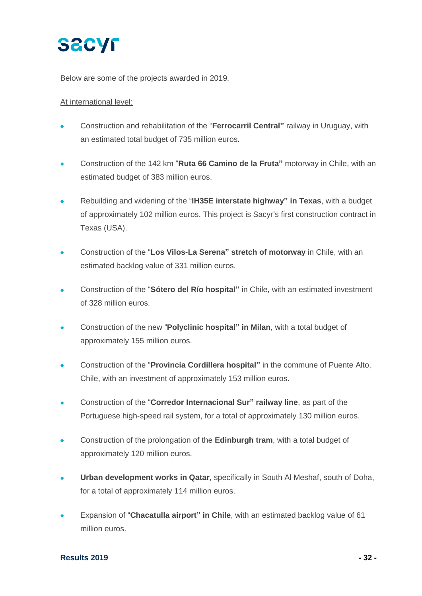

Below are some of the projects awarded in 2019.

### At international level:

- Construction and rehabilitation of the "**Ferrocarril Central"** railway in Uruguay, with an estimated total budget of 735 million euros.
- Construction of the 142 km "**Ruta 66 Camino de la Fruta"** motorway in Chile, with an estimated budget of 383 million euros.
- Rebuilding and widening of the "**IH35E interstate highway" in Texas**, with a budget of approximately 102 million euros. This project is Sacyr's first construction contract in Texas (USA).
- Construction of the "**Los Vilos-La Serena" stretch of motorway** in Chile, with an estimated backlog value of 331 million euros.
- Construction of the "**Sótero del Río hospital"** in Chile, with an estimated investment of 328 million euros.
- Construction of the new "**Polyclinic hospital" in Milan**, with a total budget of approximately 155 million euros.
- Construction of the "**Provincia Cordillera hospital"** in the commune of Puente Alto, Chile, with an investment of approximately 153 million euros.
- Construction of the "**Corredor Internacional Sur" railway line**, as part of the Portuguese high-speed rail system, for a total of approximately 130 million euros.
- Construction of the prolongation of the **Edinburgh tram**, with a total budget of approximately 120 million euros.
- **Urban development works in Qatar**, specifically in South Al Meshaf, south of Doha, for a total of approximately 114 million euros.
- Expansion of "**Chacatulla airport" in Chile**, with an estimated backlog value of 61 million euros.

#### **Results 2019 - 32 -**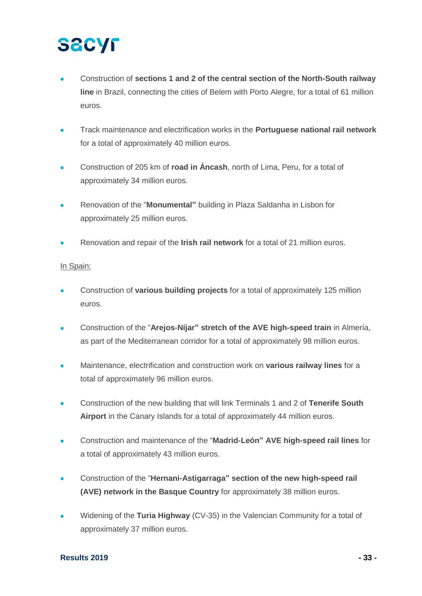- Construction of **sections 1 and 2 of the central section of the North-South railway line** in Brazil, connecting the cities of Belem with Porto Alegre, for a total of 61 million euros.
- Track maintenance and electrification works in the **Portuguese national rail network** for a total of approximately 40 million euros.
- Construction of 205 km of **road in Áncash**, north of Lima, Peru, for a total of approximately 34 million euros.
- Renovation of the "**Monumental"** building in Plaza Saldanha in Lisbon for approximately 25 million euros.
- Renovation and repair of the **Irish rail network** for a total of 21 million euros.

### In Spain:

- Construction of **various building projects** for a total of approximately 125 million euros.
- Construction of the "**Arejos-Níjar" stretch of the AVE high-speed train** in Almería, as part of the Mediterranean corridor for a total of approximately 98 million euros.
- Maintenance, electrification and construction work on **various railway lines** for a total of approximately 96 million euros.
- Construction of the new building that will link Terminals 1 and 2 of **Tenerife South Airport** in the Canary Islands for a total of approximately 44 million euros.
- Construction and maintenance of the "**Madrid-León" AVE high-speed rail lines** for a total of approximately 43 million euros.
- Construction of the "**Hernani-Astigarraga" section of the new high-speed rail (AVE) network in the Basque Country** for approximately 38 million euros.
- Widening of the **Turia Highway** (CV-35) in the Valencian Community for a total of approximately 37 million euros.

### **Results 2019 - 33 -**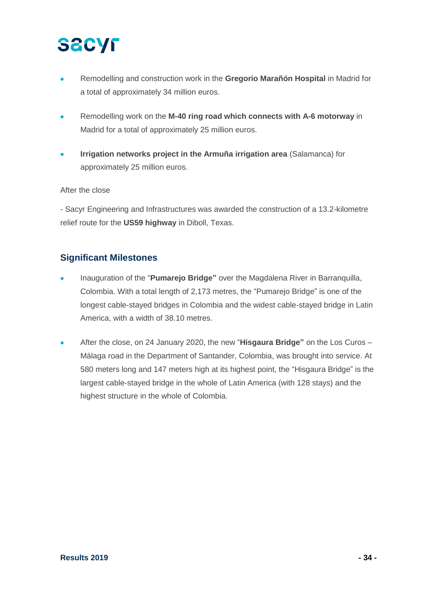- Remodelling and construction work in the **Gregorio Marañón Hospital** in Madrid for a total of approximately 34 million euros.
- Remodelling work on the **M-40 ring road which connects with A-6 motorway** in Madrid for a total of approximately 25 million euros.
- **Irrigation networks project in the Armuña irrigation area** (Salamanca) for approximately 25 million euros.

### After the close

- Sacyr Engineering and Infrastructures was awarded the construction of a 13.2-kilometre relief route for the **US59 highway** in Diboll, Texas.

### **Significant Milestones**

- Inauguration of the "**Pumarejo Bridge"** over the Magdalena River in Barranquilla, Colombia. With a total length of 2,173 metres, the "Pumarejo Bridge" is one of the longest cable-stayed bridges in Colombia and the widest cable-stayed bridge in Latin America, with a width of 38.10 metres.
- After the close, on 24 January 2020, the new "**Hisgaura Bridge"** on the Los Curos Málaga road in the Department of Santander, Colombia, was brought into service. At 580 meters long and 147 meters high at its highest point, the "Hisgaura Bridge" is the largest cable-stayed bridge in the whole of Latin America (with 128 stays) and the highest structure in the whole of Colombia.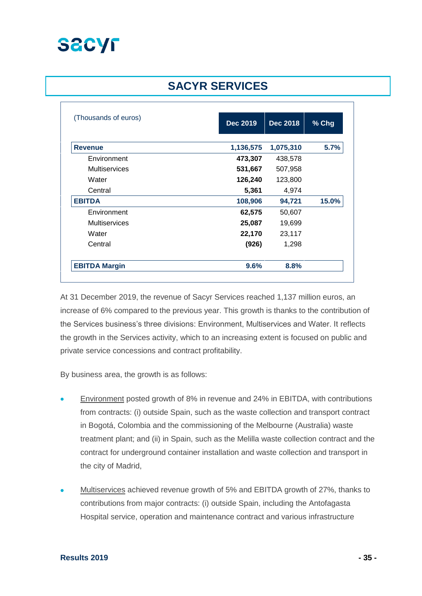

## **SACYR SERVICES**

| (Thousands of euros) | <b>Dec 2019</b> | <b>Dec 2018</b> | % Chg |
|----------------------|-----------------|-----------------|-------|
| <b>Revenue</b>       | 1,136,575       | 1,075,310       | 5.7%  |
| Environment          | 473,307         | 438,578         |       |
| <b>Multiservices</b> | 531,667         | 507,958         |       |
| Water                | 126,240         | 123,800         |       |
| Central              | 5,361           | 4,974           |       |
| <b>EBITDA</b>        | 108,906         | 94,721          | 15.0% |
| Environment          | 62,575          | 50,607          |       |
| <b>Multiservices</b> | 25,087          | 19,699          |       |
| Water                | 22,170          | 23,117          |       |
| Central              | (926)           | 1,298           |       |
| <b>EBITDA Margin</b> | 9.6%            | 8.8%            |       |

At 31 December 2019, the revenue of Sacyr Services reached 1,137 million euros, an increase of 6% compared to the previous year. This growth is thanks to the contribution of the Services business's three divisions: Environment, Multiservices and Water. It reflects the growth in the Services activity, which to an increasing extent is focused on public and private service concessions and contract profitability.

By business area, the growth is as follows:

- Environment posted growth of 8% in revenue and 24% in EBITDA, with contributions from contracts: (i) outside Spain, such as the waste collection and transport contract in Bogotá, Colombia and the commissioning of the Melbourne (Australia) waste treatment plant; and (ii) in Spain, such as the Melilla waste collection contract and the contract for underground container installation and waste collection and transport in the city of Madrid,
- Multiservices achieved revenue growth of 5% and EBITDA growth of 27%, thanks to contributions from major contracts: (i) outside Spain, including the Antofagasta Hospital service, operation and maintenance contract and various infrastructure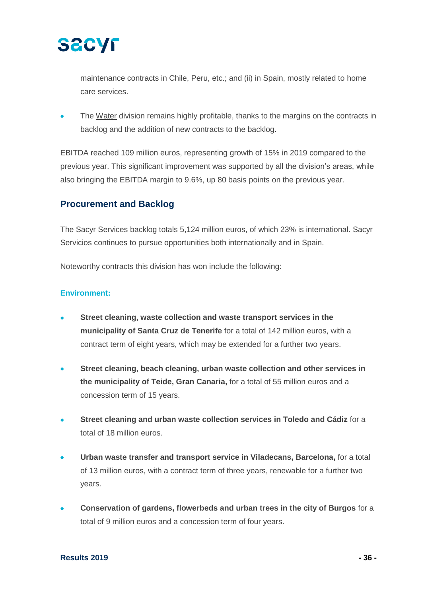

maintenance contracts in Chile, Peru, etc.; and (ii) in Spain, mostly related to home care services.

The Water division remains highly profitable, thanks to the margins on the contracts in backlog and the addition of new contracts to the backlog.

EBITDA reached 109 million euros, representing growth of 15% in 2019 compared to the previous year. This significant improvement was supported by all the division's areas, while also bringing the EBITDA margin to 9.6%, up 80 basis points on the previous year.

### **Procurement and Backlog**

The Sacyr Services backlog totals 5,124 million euros, of which 23% is international. Sacyr Servicios continues to pursue opportunities both internationally and in Spain.

Noteworthy contracts this division has won include the following:

### **Environment:**

- **Street cleaning, waste collection and waste transport services in the municipality of Santa Cruz de Tenerife** for a total of 142 million euros, with a contract term of eight years, which may be extended for a further two years.
- **Street cleaning, beach cleaning, urban waste collection and other services in the municipality of Teide, Gran Canaria,** for a total of 55 million euros and a concession term of 15 years.
- **Street cleaning and urban waste collection services in Toledo and Cádiz** for a total of 18 million euros.
- **Urban waste transfer and transport service in Viladecans, Barcelona,** for a total of 13 million euros, with a contract term of three years, renewable for a further two years.
- **Conservation of gardens, flowerbeds and urban trees in the city of Burgos** for a total of 9 million euros and a concession term of four years.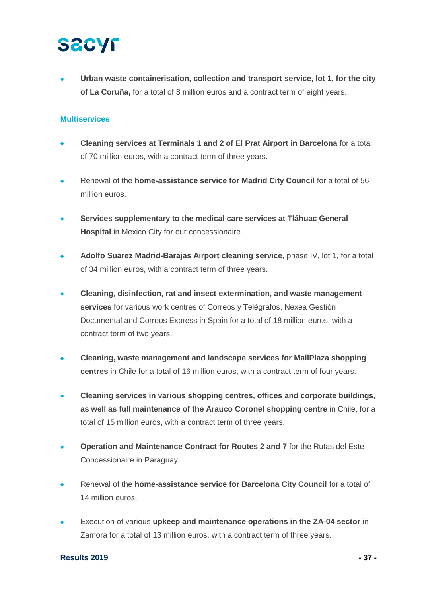• **Urban waste containerisation, collection and transport service, lot 1, for the city of La Coruña,** for a total of 8 million euros and a contract term of eight years.

### **Multiservices**

- **Cleaning services at Terminals 1 and 2 of El Prat Airport in Barcelona** for a total of 70 million euros, with a contract term of three years.
- Renewal of the **home-assistance service for Madrid City Council** for a total of 56 million euros.
- **Services supplementary to the medical care services at Tláhuac General Hospital** in Mexico City for our concessionaire.
- **Adolfo Suarez Madrid-Barajas Airport cleaning service,** phase IV, lot 1, for a total of 34 million euros, with a contract term of three years.
- **Cleaning, disinfection, rat and insect extermination, and waste management services** for various work centres of Correos y Telégrafos, Nexea Gestión Documental and Correos Express in Spain for a total of 18 million euros, with a contract term of two years.
- **Cleaning, waste management and landscape services for MallPlaza shopping centres** in Chile for a total of 16 million euros, with a contract term of four years.
- **Cleaning services in various shopping centres, offices and corporate buildings, as well as full maintenance of the Arauco Coronel shopping centre** in Chile, for a total of 15 million euros, with a contract term of three years.
- **Operation and Maintenance Contract for Routes 2 and 7** for the Rutas del Este Concessionaire in Paraguay.
- Renewal of the **home-assistance service for Barcelona City Council** for a total of 14 million euros.
- Execution of various **upkeep and maintenance operations in the ZA-04 sector** in Zamora for a total of 13 million euros, with a contract term of three years.

### **Results 2019 - 37 -**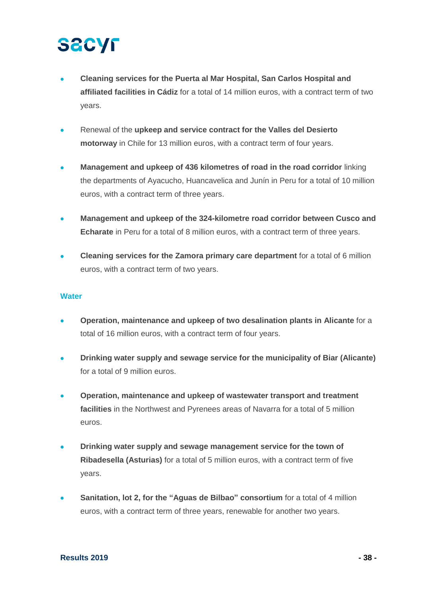- **Cleaning services for the Puerta al Mar Hospital, San Carlos Hospital and affiliated facilities in Cádiz** for a total of 14 million euros, with a contract term of two years.
- Renewal of the **upkeep and service contract for the Valles del Desierto motorway** in Chile for 13 million euros, with a contract term of four years.
- **Management and upkeep of 436 kilometres of road in the road corridor** linking the departments of Ayacucho, Huancavelica and Junín in Peru for a total of 10 million euros, with a contract term of three years.
- **Management and upkeep of the 324-kilometre road corridor between Cusco and Echarate** in Peru for a total of 8 million euros, with a contract term of three years.
- **Cleaning services for the Zamora primary care department** for a total of 6 million euros, with a contract term of two years.

### **Water**

- **Operation, maintenance and upkeep of two desalination plants in Alicante** for a total of 16 million euros, with a contract term of four years.
- **Drinking water supply and sewage service for the municipality of Biar (Alicante)** for a total of 9 million euros.
- **Operation, maintenance and upkeep of wastewater transport and treatment facilities** in the Northwest and Pyrenees areas of Navarra for a total of 5 million euros.
- **Drinking water supply and sewage management service for the town of Ribadesella (Asturias)** for a total of 5 million euros, with a contract term of five years.
- **Sanitation, lot 2, for the "Aguas de Bilbao" consortium** for a total of 4 million euros, with a contract term of three years, renewable for another two years.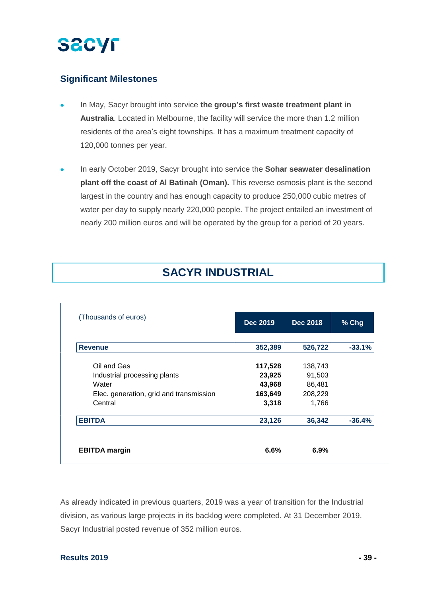### **Significant Milestones**

- In May, Sacyr brought into service **the group's first waste treatment plant in Australia**. Located in Melbourne, the facility will service the more than 1.2 million residents of the area's eight townships. It has a maximum treatment capacity of 120,000 tonnes per year.
- In early October 2019, Sacyr brought into service the **Sohar seawater desalination plant off the coast of Al Batinah (Oman).** This reverse osmosis plant is the second largest in the country and has enough capacity to produce 250,000 cubic metres of water per day to supply nearly 220,000 people. The project entailed an investment of nearly 200 million euros and will be operated by the group for a period of 20 years.

## **SACYR INDUSTRIAL**

| (Thousands of euros)                    | <b>Dec 2019</b> | <b>Dec 2018</b> | % Chg    |
|-----------------------------------------|-----------------|-----------------|----------|
| <b>Revenue</b>                          | 352,389         | 526,722         | $-33.1%$ |
| Oil and Gas                             | 117,528         | 138,743         |          |
| Industrial processing plants            | 23,925          | 91,503          |          |
| Water                                   | 43,968          | 86,481          |          |
| Elec. generation, grid and transmission | 163,649         | 208,229         |          |
| Central                                 | 3,318           | 1,766           |          |
| <b>EBITDA</b>                           | 23,126          | 36,342          | $-36.4%$ |
| <b>EBITDA</b> margin                    | 6.6%            | 6.9%            |          |

As already indicated in previous quarters, 2019 was a year of transition for the Industrial division, as various large projects in its backlog were completed. At 31 December 2019, Sacyr Industrial posted revenue of 352 million euros.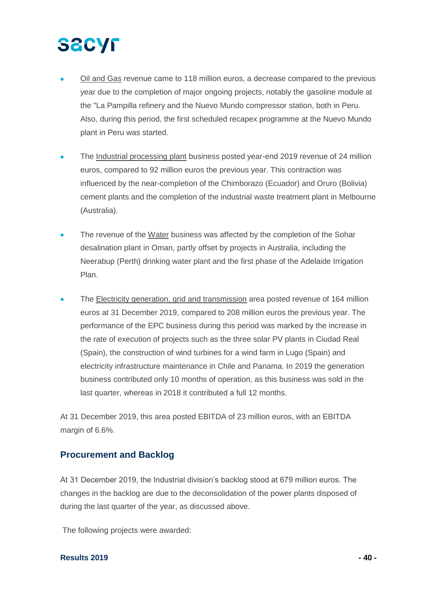- Oil and Gas revenue came to 118 million euros, a decrease compared to the previous year due to the completion of major ongoing projects, notably the gasoline module at the "La Pampilla refinery and the Nuevo Mundo compressor station, both in Peru. Also, during this period, the first scheduled recapex programme at the Nuevo Mundo plant in Peru was started.
- The Industrial processing plant business posted year-end 2019 revenue of 24 million euros, compared to 92 million euros the previous year. This contraction was influenced by the near-completion of the Chimborazo (Ecuador) and Oruro (Bolivia) cement plants and the completion of the industrial waste treatment plant in Melbourne (Australia).
- The revenue of the Water business was affected by the completion of the Sohar desalination plant in Oman, partly offset by projects in Australia, including the Neerabup (Perth) drinking water plant and the first phase of the Adelaide Irrigation Plan.
- The Electricity generation, grid and transmission area posted revenue of 164 million euros at 31 December 2019, compared to 208 million euros the previous year. The performance of the EPC business during this period was marked by the increase in the rate of execution of projects such as the three solar PV plants in Ciudad Real (Spain), the construction of wind turbines for a wind farm in Lugo (Spain) and electricity infrastructure maintenance in Chile and Panama. In 2019 the generation business contributed only 10 months of operation, as this business was sold in the last quarter, whereas in 2018 it contributed a full 12 months.

At 31 December 2019, this area posted EBITDA of 23 million euros, with an EBITDA margin of 6.6%.

### **Procurement and Backlog**

At 31 December 2019, the Industrial division's backlog stood at 679 million euros. The changes in the backlog are due to the deconsolidation of the power plants disposed of during the last quarter of the year, as discussed above.

The following projects were awarded:

### **Results 2019 - 40 -**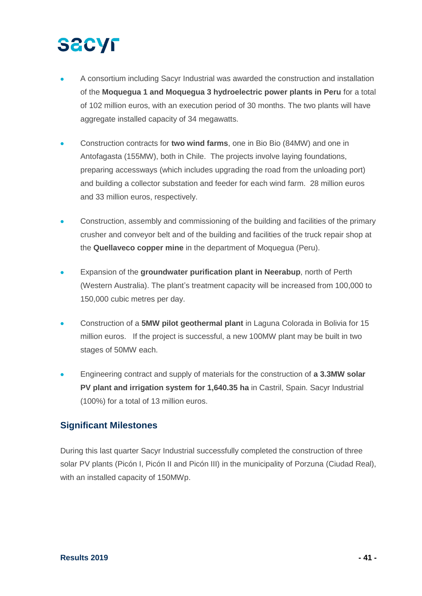# **SECYF**

- A consortium including Sacyr Industrial was awarded the construction and installation of the **Moquegua 1 and Moquegua 3 hydroelectric power plants in Peru** for a total of 102 million euros, with an execution period of 30 months. The two plants will have aggregate installed capacity of 34 megawatts.
- Construction contracts for **two wind farms**, one in Bio Bio (84MW) and one in Antofagasta (155MW), both in Chile. The projects involve laying foundations, preparing accessways (which includes upgrading the road from the unloading port) and building a collector substation and feeder for each wind farm. 28 million euros and 33 million euros, respectively.
- Construction, assembly and commissioning of the building and facilities of the primary crusher and conveyor belt and of the building and facilities of the truck repair shop at the **Quellaveco copper mine** in the department of Moquegua (Peru).
- Expansion of the **groundwater purification plant in Neerabup**, north of Perth (Western Australia). The plant's treatment capacity will be increased from 100,000 to 150,000 cubic metres per day.
- Construction of a **5MW pilot geothermal plant** in Laguna Colorada in Bolivia for 15 million euros. If the project is successful, a new 100MW plant may be built in two stages of 50MW each.
- Engineering contract and supply of materials for the construction of **a 3.3MW solar PV plant and irrigation system for 1,640.35 ha** in Castril, Spain. Sacyr Industrial (100%) for a total of 13 million euros.

## **Significant Milestones**

During this last quarter Sacyr Industrial successfully completed the construction of three solar PV plants (Picón I, Picón II and Picón III) in the municipality of Porzuna (Ciudad Real), with an installed capacity of 150MWp.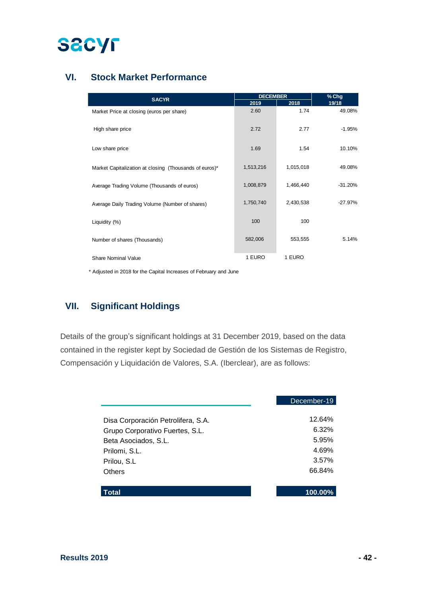

## **VI. Stock Market Performance**

| <b>SACYR</b>                                           | <b>DECEMBER</b> |           | % Chg     |  |
|--------------------------------------------------------|-----------------|-----------|-----------|--|
|                                                        | 2019            | 2018      | 19/18     |  |
| Market Price at closing (euros per share)              | 2.60            | 1.74      | 49.08%    |  |
| High share price                                       | 2.72            | 2.77      | $-1.95%$  |  |
| Low share price                                        | 1.69            | 1.54      | 10.10%    |  |
| Market Capitalization at closing (Thousands of euros)* | 1,513,216       | 1,015,018 | 49.08%    |  |
| Average Trading Volume (Thousands of euros)            | 1,008,879       | 1,466,440 | $-31.20%$ |  |
| Average Daily Trading Volume (Number of shares)        | 1,750,740       | 2,430,538 | $-27.97%$ |  |
| Liquidity (%)                                          | 100             | 100       |           |  |
| Number of shares (Thousands)                           | 582,006         | 553,555   | 5.14%     |  |
| Share Nominal Value                                    | 1 EURO          | 1 EURO    |           |  |

\* Adjusted in 2018 for the Capital Increases of February and June

### **VII. Significant Holdings**

Details of the group's significant holdings at 31 December 2019, based on the data contained in the register kept by Sociedad de Gestión de los Sistemas de Registro, Compensación y Liquidación de Valores, S.A. (Iberclear), are as follows:

|                                    | December-19 |
|------------------------------------|-------------|
| Disa Corporación Petrolifera, S.A. | 12.64%      |
| Grupo Corporativo Fuertes, S.L.    | 6.32%       |
| Beta Asociados, S.L.               | 5.95%       |
| Prilomi, S.L.                      | 4.69%       |
| Prilou, S.L.                       | 3.57%       |
| <b>Others</b>                      | 66.84%      |
|                                    |             |
| Total                              | 100.00%     |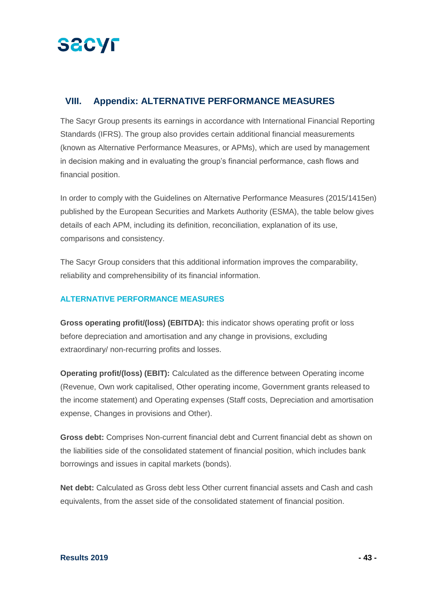

### **VIII. Appendix: ALTERNATIVE PERFORMANCE MEASURES**

The Sacyr Group presents its earnings in accordance with International Financial Reporting Standards (IFRS). The group also provides certain additional financial measurements (known as Alternative Performance Measures, or APMs), which are used by management in decision making and in evaluating the group's financial performance, cash flows and financial position.

In order to comply with the Guidelines on Alternative Performance Measures (2015/1415en) published by the European Securities and Markets Authority (ESMA), the table below gives details of each APM, including its definition, reconciliation, explanation of its use, comparisons and consistency.

The Sacyr Group considers that this additional information improves the comparability, reliability and comprehensibility of its financial information.

### **ALTERNATIVE PERFORMANCE MEASURES**

**Gross operating profit/(loss) (EBITDA):** this indicator shows operating profit or loss before depreciation and amortisation and any change in provisions, excluding extraordinary/ non-recurring profits and losses.

**Operating profit/(loss) (EBIT):** Calculated as the difference between Operating income (Revenue, Own work capitalised, Other operating income, Government grants released to the income statement) and Operating expenses (Staff costs, Depreciation and amortisation expense, Changes in provisions and Other).

**Gross debt:** Comprises Non-current financial debt and Current financial debt as shown on the liabilities side of the consolidated statement of financial position, which includes bank borrowings and issues in capital markets (bonds).

**Net debt:** Calculated as Gross debt less Other current financial assets and Cash and cash equivalents, from the asset side of the consolidated statement of financial position.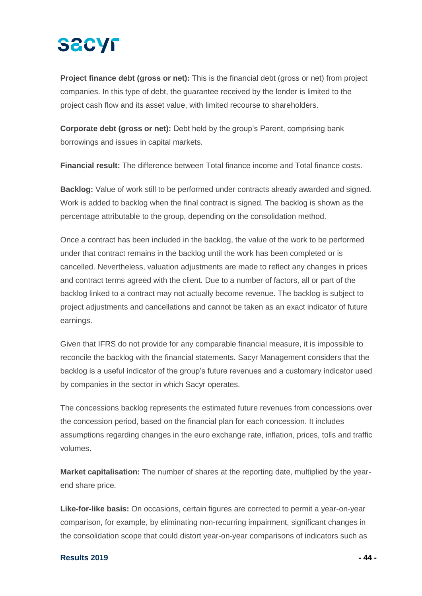**Project finance debt (gross or net):** This is the financial debt (gross or net) from project companies. In this type of debt, the guarantee received by the lender is limited to the project cash flow and its asset value, with limited recourse to shareholders.

**Corporate debt (gross or net):** Debt held by the group's Parent, comprising bank borrowings and issues in capital markets.

**Financial result:** The difference between Total finance income and Total finance costs.

**Backlog:** Value of work still to be performed under contracts already awarded and signed. Work is added to backlog when the final contract is signed. The backlog is shown as the percentage attributable to the group, depending on the consolidation method.

Once a contract has been included in the backlog, the value of the work to be performed under that contract remains in the backlog until the work has been completed or is cancelled. Nevertheless, valuation adjustments are made to reflect any changes in prices and contract terms agreed with the client. Due to a number of factors, all or part of the backlog linked to a contract may not actually become revenue. The backlog is subject to project adjustments and cancellations and cannot be taken as an exact indicator of future earnings.

Given that IFRS do not provide for any comparable financial measure, it is impossible to reconcile the backlog with the financial statements. Sacyr Management considers that the backlog is a useful indicator of the group's future revenues and a customary indicator used by companies in the sector in which Sacyr operates.

The concessions backlog represents the estimated future revenues from concessions over the concession period, based on the financial plan for each concession. It includes assumptions regarding changes in the euro exchange rate, inflation, prices, tolls and traffic volumes.

**Market capitalisation:** The number of shares at the reporting date, multiplied by the yearend share price.

**Like-for-like basis:** On occasions, certain figures are corrected to permit a year-on-year comparison, for example, by eliminating non-recurring impairment, significant changes in the consolidation scope that could distort year-on-year comparisons of indicators such as

### **Results 2019 - 44 -**